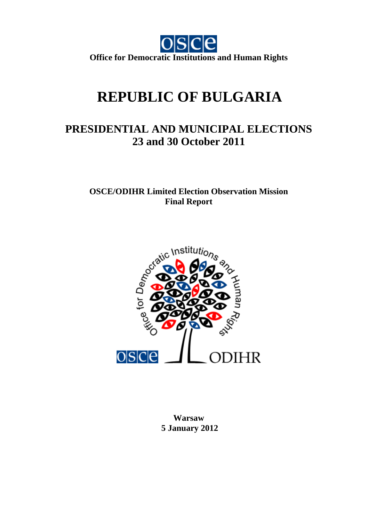

# **REPUBLIC OF BULGARIA**

## **PRESIDENTIAL AND MUNICIPAL ELECTIONS 23 and 30 October 2011**

**OSCE/ODIHR Limited Election Observation Mission Final Report** 



**Warsaw 5 January 2012**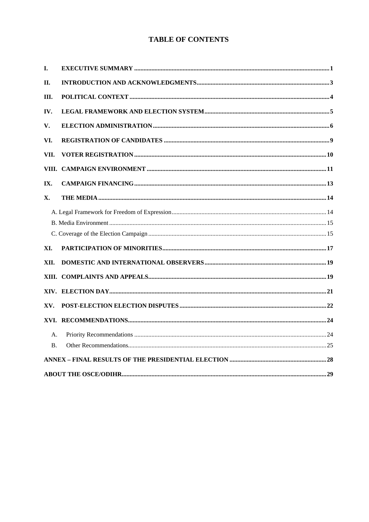## **TABLE OF CONTENTS**

| I.             |  |
|----------------|--|
| II.            |  |
| III.           |  |
| IV.            |  |
| V.             |  |
| VI.            |  |
| VII.           |  |
| VIII.          |  |
| IX.            |  |
| X.             |  |
|                |  |
|                |  |
|                |  |
| XI.            |  |
| XII.           |  |
|                |  |
|                |  |
| XV.            |  |
|                |  |
| A.             |  |
| $\mathbf{B}$ . |  |
|                |  |
|                |  |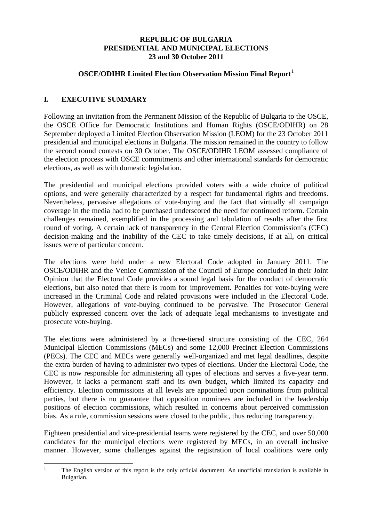## **REPUBLIC OF BULGARIA PRESIDENTIAL AND MUNICIPAL ELECTIONS 23 and 30 October 2011**

## **OSCE/ODIHR Limited Election Observation Mission Final Report**<sup>[1](#page-2-1)</sup>

## <span id="page-2-0"></span>**I. EXECUTIVE SUMMARY**

Following an invitation from the Permanent Mission of the Republic of Bulgaria to the OSCE, the OSCE Office for Democratic Institutions and Human Rights (OSCE/ODIHR) on 28 September deployed a Limited Election Observation Mission (LEOM) for the 23 October 2011 presidential and municipal elections in Bulgaria. The mission remained in the country to follow the second round contests on 30 October. The OSCE/ODIHR LEOM assessed compliance of the election process with OSCE commitments and other international standards for democratic elections, as well as with domestic legislation.

The presidential and municipal elections provided voters with a wide choice of political options, and were generally characterized by a respect for fundamental rights and freedoms. Nevertheless, pervasive allegations of vote-buying and the fact that virtually all campaign coverage in the media had to be purchased underscored the need for continued reform. Certain challenges remained, exemplified in the processing and tabulation of results after the first round of voting. A certain lack of transparency in the Central Election Commission's (CEC) decision-making and the inability of the CEC to take timely decisions, if at all, on critical issues were of particular concern.

The elections were held under a new Electoral Code adopted in January 2011. The OSCE/ODIHR and the Venice Commission of the Council of Europe concluded in their Joint Opinion that the Electoral Code provides a sound legal basis for the conduct of democratic elections, but also noted that there is room for improvement. Penalties for vote-buying were increased in the Criminal Code and related provisions were included in the Electoral Code. However, allegations of vote-buying continued to be pervasive. The Prosecutor General publicly expressed concern over the lack of adequate legal mechanisms to investigate and prosecute vote-buying.

The elections were administered by a three-tiered structure consisting of the CEC, 264 Municipal Election Commissions (MECs) and some 12,000 Precinct Election Commissions (PECs). The CEC and MECs were generally well-organized and met legal deadlines, despite the extra burden of having to administer two types of elections. Under the Electoral Code, the CEC is now responsible for administering all types of elections and serves a five-year term. However, it lacks a permanent staff and its own budget, which limited its capacity and efficiency. Election commissions at all levels are appointed upon nominations from political parties, but there is no guarantee that opposition nominees are included in the leadership positions of election commissions, which resulted in concerns about perceived commission bias. As a rule, commission sessions were closed to the public, thus reducing transparency.

Eighteen presidential and vice-presidential teams were registered by the CEC, and over 50,000 candidates for the municipal elections were registered by MECs, in an overall inclusive manner. However, some challenges against the registration of local coalitions were only

<span id="page-2-1"></span> $\frac{1}{1}$  The English version of this report is the only official document. An unofficial translation is available in Bulgarian.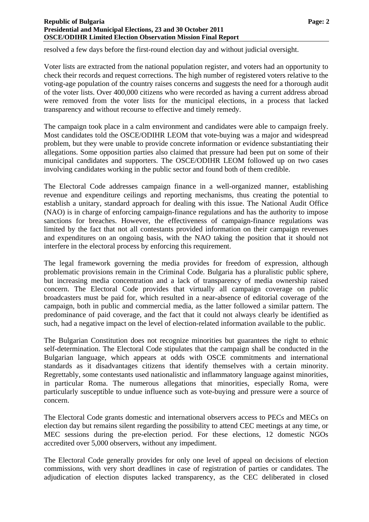resolved a few days before the first-round election day and without judicial oversight.

Voter lists are extracted from the national population register, and voters had an opportunity to check their records and request corrections. The high number of registered voters relative to the voting-age population of the country raises concerns and suggests the need for a thorough audit of the voter lists. Over 400,000 citizens who were recorded as having a current address abroad were removed from the voter lists for the municipal elections, in a process that lacked transparency and without recourse to effective and timely remedy.

The campaign took place in a calm environment and candidates were able to campaign freely. Most candidates told the OSCE/ODIHR LEOM that vote-buying was a major and widespread problem, but they were unable to provide concrete information or evidence substantiating their allegations. Some opposition parties also claimed that pressure had been put on some of their municipal candidates and supporters. The OSCE/ODIHR LEOM followed up on two cases involving candidates working in the public sector and found both of them credible.

The Electoral Code addresses campaign finance in a well-organized manner, establishing revenue and expenditure ceilings and reporting mechanisms, thus creating the potential to establish a unitary, standard approach for dealing with this issue. The National Audit Office (NAO) is in charge of enforcing campaign-finance regulations and has the authority to impose sanctions for breaches. However, the effectiveness of campaign-finance regulations was limited by the fact that not all contestants provided information on their campaign revenues and expenditures on an ongoing basis, with the NAO taking the position that it should not interfere in the electoral process by enforcing this requirement.

The legal framework governing the media provides for freedom of expression, although problematic provisions remain in the Criminal Code. Bulgaria has a pluralistic public sphere, but increasing media concentration and a lack of transparency of media ownership raised concern. The Electoral Code provides that virtually all campaign coverage on public broadcasters must be paid for, which resulted in a near-absence of editorial coverage of the campaign, both in public and commercial media, as the latter followed a similar pattern. The predominance of paid coverage, and the fact that it could not always clearly be identified as such, had a negative impact on the level of election-related information available to the public.

The Bulgarian Constitution does not recognize minorities but guarantees the right to ethnic self-determination. The Electoral Code stipulates that the campaign shall be conducted in the Bulgarian language, which appears at odds with OSCE commitments and international standards as it disadvantages citizens that identify themselves with a certain minority. Regrettably, some contestants used nationalistic and inflammatory language against minorities, in particular Roma. The numerous allegations that minorities, especially Roma, were particularly susceptible to undue influence such as vote-buying and pressure were a source of concern.

The Electoral Code grants domestic and international observers access to PECs and MECs on election day but remains silent regarding the possibility to attend CEC meetings at any time, or MEC sessions during the pre-election period. For these elections, 12 domestic NGOs accredited over 5,000 observers, without any impediment.

The Electoral Code generally provides for only one level of appeal on decisions of election commissions, with very short deadlines in case of registration of parties or candidates. The adjudication of election disputes lacked transparency, as the CEC deliberated in closed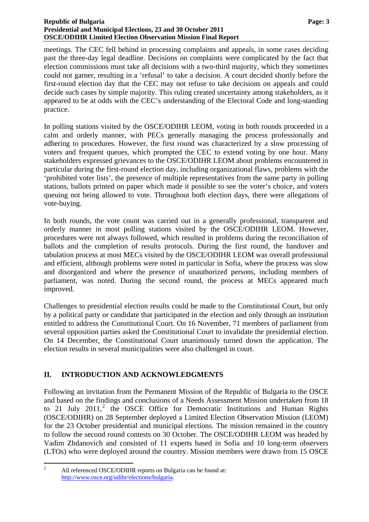#### **Republic of Bulgaria Page: 3 Page: 3 Presidential and Municipal Elections, 23 and 30 October 2011 OSCE/ODIHR Limited Election Observation Mission Final Report**

meetings. The CEC fell behind in processing complaints and appeals, in some cases deciding past the three-day legal deadline. Decisions on complaints were complicated by the fact that election commissions must take all decisions with a two-third majority, which they sometimes could not garner, resulting in a 'refusal' to take a decision. A court decided shortly before the first-round election day that the CEC may not refuse to take decisions on appeals and could decide such cases by simple majority. This ruling created uncertainty among stakeholders, as it appeared to be at odds with the CEC's understanding of the Electoral Code and long-standing practice.

In polling stations visited by the OSCE/ODIHR LEOM, voting in both rounds proceeded in a calm and orderly manner, with PECs generally managing the process professionally and adhering to procedures. However, the first round was characterized by a slow processing of voters and frequent queues, which prompted the CEC to extend voting by one hour. Many stakeholders expressed grievances to the OSCE/ODIHR LEOM about problems encountered in particular during the first-round election day, including organizational flaws, problems with the 'prohibited voter lists', the presence of multiple representatives from the same party in polling stations, ballots printed on paper which made it possible to see the voter's choice, and voters queuing not being allowed to vote. Throughout both election days, there were allegations of vote-buying.

In both rounds, the vote count was carried out in a generally professional, transparent and orderly manner in most polling stations visited by the OSCE/ODIHR LEOM. However, procedures were not always followed, which resulted in problems during the reconciliation of ballots and the completion of results protocols. During the first round, the handover and tabulation process at most MECs visited by the OSCE/ODIHR LEOM was overall professional and efficient, although problems were noted in particular in Sofia, where the process was slow and disorganized and where the presence of unauthorized persons, including members of parliament, was noted. During the second round, the process at MECs appeared much improved.

Challenges to presidential election results could be made to the Constitutional Court, but only by a political party or candidate that participated in the election and only through an institution entitled to address the Constitutional Court. On 16 November, 71 members of parliament from several opposition parties asked the Constitutional Court to invalidate the presidential election. On 14 December, the Constitutional Court unanimously turned down the application. The election results in several municipalities were also challenged in court.

## <span id="page-4-0"></span>**II. INTRODUCTION AND ACKNOWLEDGMENTS**

<span id="page-4-1"></span>Following an invitation from the Permanent Mission of the Republic of Bulgaria to the OSCE and based on the findings and conclusions of a Needs Assessment Mission undertaken from 18 to [2](#page-2-1)1 July 2011,<sup>2</sup> the OSCE Office for Democratic Institutions and Human Rights (OSCE/ODIHR) on 28 September deployed a Limited Election Observation Mission (LEOM) for the 23 October presidential and municipal elections. The mission remained in the country to follow the second round contests on 30 October. The OSCE/ODIHR LEOM was headed by Vadim Zhdanovich and consisted of 11 experts based in Sofia and 10 long-term observers (LTOs) who were deployed around the country. Mission members were drawn from 15 OSCE

 $\frac{1}{2}$  All referenced OSCE/ODIHR reports on Bulgaria can be found at: [http://www.osce.org/odihr/elections/bulgaria.](http://www.osce.org/odihr/elections/bulgaria)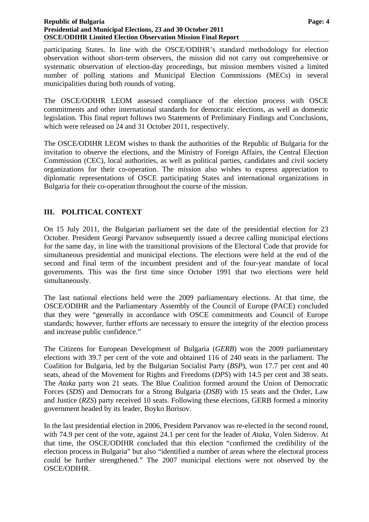#### **Republic of Bulgaria Page: 4 Page: 4 Page: 4 Page: 4 Page: 4 Presidential and Municipal Elections, 23 and 30 October 2011 OSCE/ODIHR Limited Election Observation Mission Final Report**

participating States. In line with the OSCE/ODIHR's standard methodology for election observation without short-term observers, the mission did not carry out comprehensive or systematic observation of election-day proceedings, but mission members visited a limited number of polling stations and Municipal Election Commissions (MECs) in several municipalities during both rounds of voting.

The OSCE/ODIHR LEOM assessed compliance of the election process with OSCE commitments and other international standards for democratic elections, as well as domestic legislation. This final report follows two Statements of Preliminary Findings and Conclusions, which were released on 24 and 31 October 2011, respectively.

The OSCE/ODIHR LEOM wishes to thank the authorities of the Republic of Bulgaria for the invitation to observe the elections, and the Ministry of Foreign Affairs, the Central Election Commission (CEC), local authorities, as well as political parties, candidates and civil society organizations for their co-operation. The mission also wishes to express appreciation to diplomatic representations of OSCE participating States and international organizations in Bulgaria for their co-operation throughout the course of the mission.

## <span id="page-5-0"></span>**III. POLITICAL CONTEXT**

On 15 July 2011, the Bulgarian parliament set the date of the presidential election for 23 October. President Georgi Parvanov subsequently issued a decree calling municipal elections for the same day, in line with the transitional provisions of the Electoral Code that provide for simultaneous presidential and municipal elections. The elections were held at the end of the second and final term of the incumbent president and of the four-year mandate of local governments. This was the first time since October 1991 that two elections were held simultaneously.

The last national elections held were the 2009 parliamentary elections. At that time, the OSCE/ODIHR and the Parliamentary Assembly of the Council of Europe (PACE) concluded that they were "generally in accordance with OSCE commitments and Council of Europe standards; however, further efforts are necessary to ensure the integrity of the election process and increase public confidence."

The Citizens for European Development of Bulgaria (*GERB*) won the 2009 parliamentary elections with 39.7 per cent of the vote and obtained 116 of 240 seats in the parliament. The Coalition for Bulgaria, led by the Bulgarian Socialist Party (*BSP*), won 17.7 per cent and 40 seats, ahead of the Movement for Rights and Freedoms (*DPS*) with 14.5 per cent and 38 seats. The *Ataka* party won 21 seats. The Blue Coalition formed around the Union of Democratic Forces (*SDS*) and Democrats for a Strong Bulgaria (*DSB*) with 15 seats and the Order, Law and Justice (*RZS*) party received 10 seats. Following these elections, GERB formed a minority government headed by its leader, Boyko Borisov.

In the last presidential election in 2006, President Parvanov was re-elected in the second round, with 74.9 per cent of the vote, against 24.1 per cent for the leader of *Ataka*, Volen Siderov. At that time, the OSCE/ODIHR concluded that this election "confirmed the credibility of the election process in Bulgaria" but also "identified a number of areas where the electoral process could be further strengthened." The 2007 municipal elections were not observed by the OSCE/ODIHR.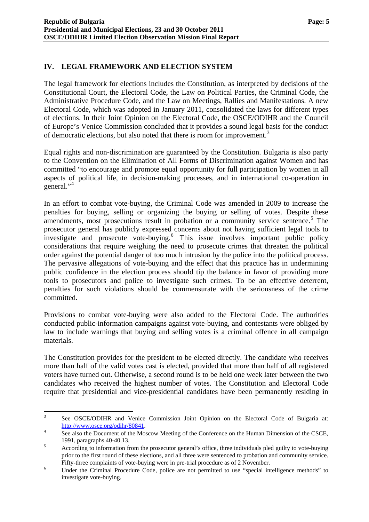## <span id="page-6-0"></span>**IV. LEGAL FRAMEWORK AND ELECTION SYSTEM**

The legal framework for elections includes the Constitution, as interpreted by decisions of the Constitutional Court, the Electoral Code, the Law on Political Parties, the Criminal Code, the Administrative Procedure Code, and the Law on Meetings, Rallies and Manifestations. A new Electoral Code, which was adopted in January 2011, consolidated the laws for different types of elections. In their Joint Opinion on the Electoral Code, the OSCE/ODIHR and the Council of Europe's Venice Commission concluded that it provides a sound legal basis for the conduct of democratic elections, but also noted that there is room for improvement.<sup>[3](#page-4-1)</sup>

Equal rights and non-discrimination are guaranteed by the Constitution. Bulgaria is also party to the Convention on the Elimination of All Forms of Discrimination against Women and has committed "to encourage and promote equal opportunity for full participation by women in all aspects of political life, in decision-making processes, and in international co-operation in general."<sup>[4](#page-6-1)</sup>

In an effort to combat vote-buying, the Criminal Code was amended in 2009 to increase the penalties for buying, selling or organizing the buying or selling of votes. Despite these amendments, most prosecutions result in probation or a community service sentence.<sup>[5](#page-6-2)</sup> The prosecutor general has publicly expressed concerns about not having sufficient legal tools to investigate and prosecute vote-buying.<sup>[6](#page-6-3)</sup> This issue involves important public policy considerations that require weighing the need to prosecute crimes that threaten the political order against the potential danger of too much intrusion by the police into the political process. The pervasive allegations of vote-buying and the effect that this practice has in undermining public confidence in the election process should tip the balance in favor of providing more tools to prosecutors and police to investigate such crimes. To be an effective deterrent, penalties for such violations should be commensurate with the seriousness of the crime committed.

<span id="page-6-4"></span>Provisions to combat vote-buying were also added to the Electoral Code. The authorities conducted public-information campaigns against vote-buying, and contestants were obliged by law to include warnings that buying and selling votes is a criminal offence in all campaign materials.

The Constitution provides for the president to be elected directly. The candidate who receives more than half of the valid votes cast is elected, provided that more than half of all registered voters have turned out. Otherwise, a second round is to be held one week later between the two candidates who received the highest number of votes. The Constitution and Electoral Code require that presidential and vice-presidential candidates have been permanently residing in

 $\frac{1}{3}$  See OSCE/ODIHR and Venice Commission Joint Opinion on the Electoral Code of Bulgaria at:  $\frac{\text{http://www.osce.org/odih/80841}}{\text{See also the Department of the Me.}}$ 

<span id="page-6-1"></span>See also the Document of the Moscow Meeting of the Conference on the Human Dimension of the CSCE, 1991, paragraphs 40-40.13.

<span id="page-6-2"></span>According to information from the prosecutor general's office, three individuals pled guilty to vote-buying prior to the first round of these elections, and all three were sentenced to probation and community service. Fifty-three complaints of vote-buying were in pre-trial procedure as of 2 November.

<span id="page-6-3"></span>Under the Criminal Procedure Code, police are not permitted to use "special intelligence methods" to investigate vote-buying.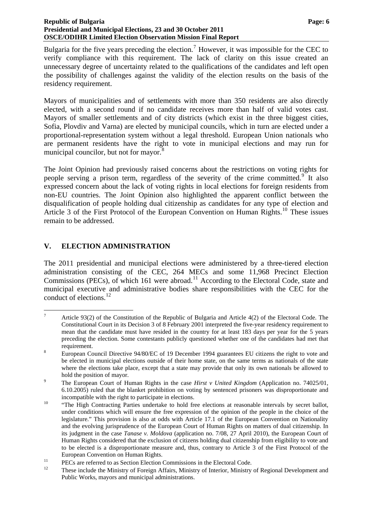#### **Republic of Bulgaria Page: 6 Page: 6 Page: 6 Page: 6 Page: 6 Page: 6 Page: 6 Page: 6 Page: 6 Page: 6 Page: 6 Page: 6 Page: 6 Page: 6 Page: 6 Page: 6 Page: 6 Page: 6 Page: 6 Page: 7 Presidential and Municipal Elections, 23 and 30 October 2011 OSCE/ODIHR Limited Election Observation Mission Final Report**

Bulgaria for the five years preceding the election.<sup>[7](#page-6-4)</sup> However, it was impossible for the CEC to verify compliance with this requirement. The lack of clarity on this issue created an unnecessary degree of uncertainty related to the qualifications of the candidates and left open the possibility of challenges against the validity of the election results on the basis of the residency requirement.

Mayors of municipalities and of settlements with more than 350 residents are also directly elected, with a second round if no candidate receives more than half of valid votes cast. Mayors of smaller settlements and of city districts (which exist in the three biggest cities, Sofia, Plovdiv and Varna) are elected by municipal councils, which in turn are elected under a proportional-representation system without a legal threshold. European Union nationals who are permanent residents have the right to vote in municipal elections and may run for municipal councilor, but not for mayor.<sup>[8](#page-7-1)</sup>

The Joint Opinion had previously raised concerns about the restrictions on voting rights for people serving a prison term, regardless of the severity of the crime committed. It also expressed concern about the lack of voting rights in local elections for foreign residents from non-EU countries. The Joint Opinion also highlighted the apparent conflict between the disqualification of people holding dual citizenship as candidates for any type of election and Article 3 of the First Protocol of the European Convention on Human Rights.<sup>[10](#page-7-3)</sup> These issues remain to be addressed.

## <span id="page-7-0"></span>**V. ELECTION ADMINISTRATION**

The 2011 presidential and municipal elections were administered by a three-tiered election administration consisting of the CEC, 264 MECs and some 11,968 Precinct Election Commissions (PECs), of which 161 were abroad.<sup>[11](#page-7-4)</sup> According to the Electoral Code, state and municipal executive and administrative bodies share responsibilities with the CEC for the conduct of elections. $^{12}$  $^{12}$  $^{12}$ 

<sup>—&</sup>lt;br>7 Article 93(2) of the Constitution of the Republic of Bulgaria and Article 4(2) of the Electoral Code. The Constitutional Court in its Decision 3 of 8 February 2001 interpreted the five-year residency requirement to mean that the candidate must have resided in the country for at least 183 days per year for the 5 years preceding the election. Some contestants publicly questioned whether one of the candidates had met that requirement.

<span id="page-7-1"></span>European Council Directive 94/80/EC of 19 December 1994 guarantees EU citizens the right to vote and be elected in municipal elections outside of their home state, on the same terms as nationals of the state where the elections take place, except that a state may provide that only its own nationals be allowed to hold the position of mayor.

<span id="page-7-2"></span>The European Court of Human Rights in the case *Hirst v United Kingdom* (Application no. 74025/01, 6.10.2005) ruled that the blanket prohibition on voting by sentenced prisoners was disproportionate and

<span id="page-7-6"></span><span id="page-7-3"></span>incompatible with the right to participate in elections.<br><sup>10</sup> "The High Contracting Parties undertake to hold free elections at reasonable intervals by secret ballot, under conditions which will ensure the free expression of the opinion of the people in the choice of the legislature." This provision is also at odds with Article 17.1 of the European Convention on Nationality and the evolving jurisprudence of the European Court of Human Rights on matters of dual citizenship. In its judgment in the case *Tanase v. Moldova* (application no. 7/08, 27 April 2010), the European Court of Human Rights considered that the exclusion of citizens holding dual citizenship from eligibility to vote and to be elected is a disproportionate measure and, thus, contrary to Article 3 of the First Protocol of the

<span id="page-7-5"></span><span id="page-7-4"></span>

European Convention on Human Rights.<br>
11 PECs are referred to as Section Election Commissions in the Electoral Code.<br>
12 These include the Ministry of Foreign Affairs, Ministry of Interior, Ministry of Regional Development Public Works, mayors and municipal administrations.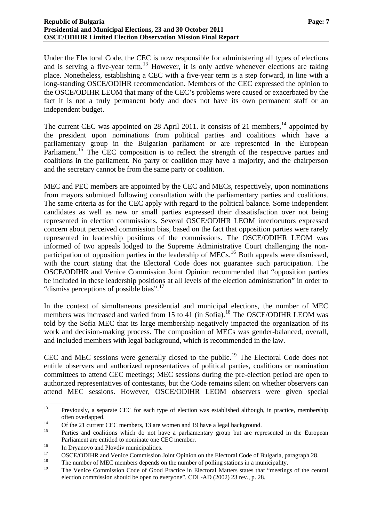Under the Electoral Code, the CEC is now responsible for administering all types of elections and is serving a five-year term.<sup>[13](#page-7-6)</sup> However, it is only active whenever elections are taking place. Nonetheless, establishing a CEC with a five-year term is a step forward, in line with a long-standing OSCE/ODIHR recommendation. Members of the CEC expressed the opinion to the OSCE/ODIHR LEOM that many of the CEC's problems were caused or exacerbated by the fact it is not a truly permanent body and does not have its own permanent staff or an independent budget.

The current CEC was appointed on 28 April 2011. It consists of 21 members,  $^{14}$  $^{14}$  $^{14}$  appointed by the president upon nominations from political parties and coalitions which have a parliamentary group in the Bulgarian parliament or are represented in the European Parliament.<sup>[15](#page-8-1)</sup> The CEC composition is to reflect the strength of the respective parties and coalitions in the parliament. No party or coalition may have a majority, and the chairperson and the secretary cannot be from the same party or coalition.

MEC and PEC members are appointed by the CEC and MECs, respectively, upon nominations from mayors submitted following consultation with the parliamentary parties and coalitions. The same criteria as for the CEC apply with regard to the political balance. Some independent candidates as well as new or small parties expressed their dissatisfaction over not being represented in election commissions. Several OSCE/ODIHR LEOM interlocutors expressed concern about perceived commission bias, based on the fact that opposition parties were rarely represented in leadership positions of the commissions. The OSCE/ODIHR LEOM was informed of two appeals lodged to the Supreme Administrative Court challenging the non-participation of opposition parties in the leadership of MECs.<sup>[16](#page-8-2)</sup> Both appeals were dismissed, with the court stating that the Electoral Code does not guarantee such participation. The OSCE/ODIHR and Venice Commission Joint Opinion recommended that "opposition parties be included in these leadership positions at all levels of the election administration" in order to "dismiss perceptions of possible bias".<sup>[17](#page-8-3)</sup>

In the context of simultaneous presidential and municipal elections, the number of MEC members was increased and varied from 15 to 41 (in Sofia).<sup>[18](#page-8-4)</sup> The OSCE/ODIHR LEOM was told by the Sofia MEC that its large membership negatively impacted the organization of its work and decision-making process. The composition of MECs was gender-balanced, overall, and included members with legal background, which is recommended in the law.

CEC and MEC sessions were generally closed to the public.<sup>[19](#page-8-5)</sup> The Electoral Code does not entitle observers and authorized representatives of political parties, coalitions or nomination committees to attend CEC meetings; MEC sessions during the pre-election period are open to authorized representatives of contestants, but the Code remains silent on whether observers can attend MEC sessions. However, OSCE/ODIHR LEOM observers were given special

<span id="page-8-6"></span><sup>13</sup> Previously, a separate CEC for each type of election was established although, in practice, membership often overlapped.<br>
Of the 21 current CEC members, 13 are women and 19 have a legal background.<br>
<sup>15</sup>

<span id="page-8-0"></span>

<span id="page-8-1"></span>Parties and coalitions which do not have a parliamentary group but are represented in the European Parliament are entitled to nominate one CEC member.<br>
In Dryanovo and Plovdiv municipalities.

<span id="page-8-2"></span>

<span id="page-8-3"></span> $17$  OSCE/ODIHR and Venice Commission Joint Opinion on the Electoral Code of Bulgaria, paragraph 28.

<span id="page-8-4"></span><sup>&</sup>lt;sup>18</sup> The number of MEC members depends on the number of polling stations in a municipality.

<span id="page-8-5"></span><sup>19</sup> The Venice Commission Code of Good Practice in Electoral Matters states that "meetings of the central election commission should be open to everyone", CDL-AD (2002) 23 rev., p. 28.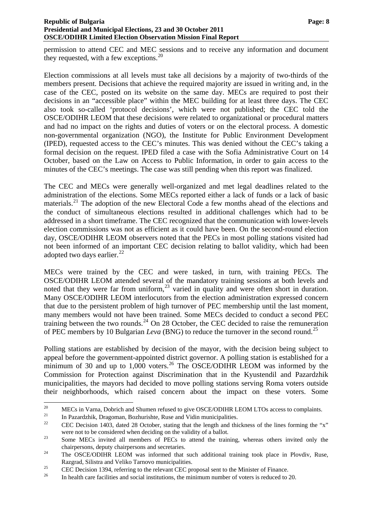permission to attend CEC and MEC sessions and to receive any information and document they requested, with a few exceptions. $^{20}$  $^{20}$  $^{20}$ 

Election commissions at all levels must take all decisions by a majority of two-thirds of the members present. Decisions that achieve the required majority are issued in writing and, in the case of the CEC, posted on its website on the same day. MECs are required to post their decisions in an "accessible place" within the MEC building for at least three days. The CEC also took so-called 'protocol decisions', which were not published; the CEC told the OSCE/ODIHR LEOM that these decisions were related to organizational or procedural matters and had no impact on the rights and duties of voters or on the electoral process. A domestic non-governmental organization (NGO), the Institute for Public Environment Development (IPED), requested access to the CEC's minutes. This was denied without the CEC's taking a formal decision on the request. IPED filed a case with the Sofia Administrative Court on 14 October, based on the Law on Access to Public Information, in order to gain access to the minutes of the CEC's meetings. The case was still pending when this report was finalized.

The CEC and MECs were generally well-organized and met legal deadlines related to the administration of the elections. Some MECs reported either a lack of funds or a lack of basic materials.<sup>[21](#page-9-0)</sup> The adoption of the new Electoral Code a few months ahead of the elections and the conduct of simultaneous elections resulted in additional challenges which had to be addressed in a short timeframe. The CEC recognized that the communication with lower-levels election commissions was not as efficient as it could have been. On the second-round election day, OSCE/ODIHR LEOM observers noted that the PECs in most polling stations visited had not been informed of an important CEC decision relating to ballot validity, which had been adopted two days earlier. $^{22}$  $^{22}$  $^{22}$ 

MECs were trained by the CEC and were tasked, in turn, with training PECs. The OSCE/ODIHR LEOM attended several of the mandatory training sessions at both levels and noted that they were far from uniform,  $23$  varied in quality and were often short in duration. Many OSCE/ODIHR LEOM interlocutors from the election administration expressed concern that due to the persistent problem of high turnover of PEC membership until the last moment, many members would not have been trained. Some MECs decided to conduct a second PEC training between the two rounds.<sup>[24](#page-9-3)</sup> On 28 October, the CEC decided to raise the remuneration of PEC members by 10 Bulgarian *Leva* (BNG) to reduce the turnover in the second round.<sup>[25](#page-9-4)</sup>

Polling stations are established by decision of the mayor, with the decision being subject to appeal before the government-appointed district governor. A polling station is established for a minimum of 30 and up to 1,000 voters.<sup>[26](#page-9-5)</sup> The OSCE/ODIHR LEOM was informed by the Commission for Protection against Discrimination that in the Kyustendil and Pazardzhik municipalities, the mayors had decided to move polling stations serving Roma voters outside their neighborhoods, which raised concern about the impact on these voters. Some

 $20\degree$ <sup>20</sup> MECs in Varna, Dobrich and Shumen refused to give OSCE/ODIHR LEOM LTOs access to complaints.<br>
<sup>21</sup> In Pazardzhik, Dragoman, Bozhurishte, Ruse and Vidin municipalities.<br>
<sup>22</sup> CEC Decision 1403, dated 28 October, stati

<span id="page-9-6"></span><span id="page-9-1"></span><span id="page-9-0"></span>were not to be considered when deciding on the validity of a ballot.<br><sup>23</sup> Some MECs invited all members of PECs to attend the training, whereas others invited only the

<span id="page-9-2"></span>chairpersons, deputy chairpersons and secretaries.<br><sup>24</sup> The OSCE/ODIHR LEOM was informed that such additional training took place in Plovdiv, Ruse,

<span id="page-9-3"></span>Razgrad, Silistra and Veliko Tarnovo municipalities.<br><sup>25</sup> CEC Decision 1394, referring to the relevant CEC proposal sent to the Minister of Finance.

<span id="page-9-5"></span><span id="page-9-4"></span><sup>&</sup>lt;sup>26</sup> In health care facilities and social institutions, the minimum number of voters is reduced to 20.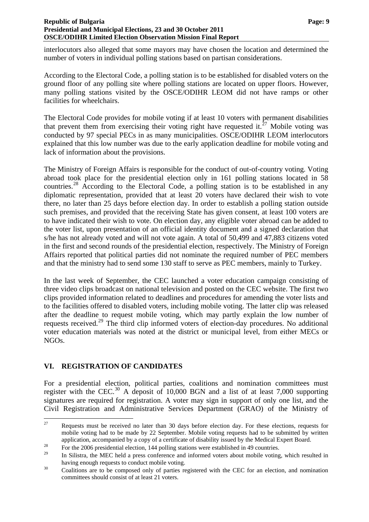#### **Republic of Bulgaria** Page: 9 **Page: 9 Page: 9 Page: 9 Page: 9 Presidential and Municipal Elections, 23 and 30 October 2011 OSCE/ODIHR Limited Election Observation Mission Final Report**

interlocutors also alleged that some mayors may have chosen the location and determined the number of voters in individual polling stations based on partisan considerations.

According to the Electoral Code, a polling station is to be established for disabled voters on the ground floor of any polling site where polling stations are located on upper floors. However, many polling stations visited by the OSCE/ODIHR LEOM did not have ramps or other facilities for wheelchairs.

The Electoral Code provides for mobile voting if at least 10 voters with permanent disabilities that prevent them from exercising their voting right have requested it.<sup>[27](#page-9-6)</sup> Mobile voting was conducted by 97 special PECs in as many municipalities. OSCE/ODIHR LEOM interlocutors explained that this low number was due to the early application deadline for mobile voting and lack of information about the provisions.

The Ministry of Foreign Affairs is responsible for the conduct of out-of-country voting. Voting abroad took place for the presidential election only in 161 polling stations located in 58 countries.[28](#page-10-1) According to the Electoral Code, a polling station is to be established in any diplomatic representation, provided that at least 20 voters have declared their wish to vote there, no later than 25 days before election day. In order to establish a polling station outside such premises, and provided that the receiving State has given consent, at least 100 voters are to have indicated their wish to vote. On election day, any eligible voter abroad can be added to the voter list, upon presentation of an official identity document and a signed declaration that s/he has not already voted and will not vote again. A total of 50,499 and 47,883 citizens voted in the first and second rounds of the presidential election, respectively. The Ministry of Foreign Affairs reported that political parties did not nominate the required number of PEC members and that the ministry had to send some 130 staff to serve as PEC members, mainly to Turkey.

In the last week of September, the CEC launched a voter education campaign consisting of three video clips broadcast on national television and posted on the CEC website. The first two clips provided information related to deadlines and procedures for amending the voter lists and to the facilities offered to disabled voters, including mobile voting. The latter clip was released after the deadline to request mobile voting, which may partly explain the low number of requests received.[29](#page-10-2) The third clip informed voters of election-day procedures. No additional voter education materials was noted at the district or municipal level, from either MECs or NGOs.

## <span id="page-10-4"></span><span id="page-10-0"></span>**VI. REGISTRATION OF CANDIDATES**

For a presidential election, political parties, coalitions and nomination committees must register with the CEC.<sup>[30](#page-10-3)</sup> A deposit of 10,000 BGN and a list of at least 7,000 supporting signatures are required for registration. A voter may sign in support of only one list, and the Civil Registration and Administrative Services Department (GRAO) of the Ministry of

<sup>27</sup> 27 Requests must be received no later than 30 days before election day. For these elections, requests for mobile voting had to be made by 22 September. Mobile voting requests had to be submitted by written

<span id="page-10-1"></span>application, accompanied by a copy of a certificate of disability issued by the Medical Expert Board.<br>For the 2006 presidential election, 144 polling stations were established in 49 countries.

In Silistra, the MEC held a press conference and informed voters about mobile voting, which resulted in

<span id="page-10-3"></span><span id="page-10-2"></span>having enough requests to conduct mobile voting.<br><sup>30</sup> Coalitions are to be composed only of parties registered with the CEC for an election, and nomination committees should consist of at least 21 voters.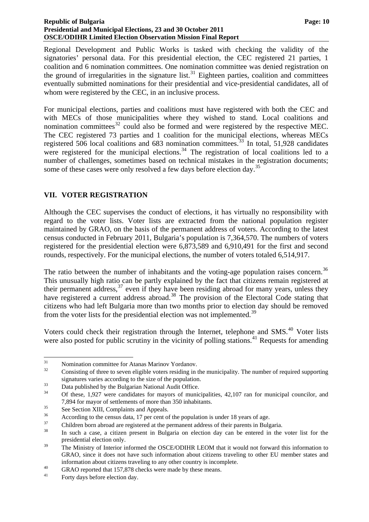#### **Republic of Bulgaria Page: 10 Page: 10 Page: 10 Page: 10 Page: 10 Presidential and Municipal Elections, 23 and 30 October 2011 OSCE/ODIHR Limited Election Observation Mission Final Report**

Regional Development and Public Works is tasked with checking the validity of the signatories' personal data. For this presidential election, the CEC registered 21 parties, 1 coalition and 6 nomination committees. One nomination committee was denied registration on the ground of irregularities in the signature list.<sup>[31](#page-10-4)</sup> Eighteen parties, coalition and committees eventually submitted nominations for their presidential and vice-presidential candidates, all of whom were registered by the CEC, in an inclusive process.

For municipal elections, parties and coalitions must have registered with both the CEC and with MECs of those municipalities where they wished to stand. Local coalitions and nomination committees<sup>[32](#page-11-1)</sup> could also be formed and were registered by the respective MEC. The CEC registered 73 parties and 1 coalition for the municipal elections, whereas MECs registered 506 local coalitions and 683 nomination committees.<sup>[33](#page-11-2)</sup> In total, 51,928 candidates were registered for the municipal elections.<sup>[34](#page-11-3)</sup> The registration of local coalitions led to a number of challenges, sometimes based on technical mistakes in the registration documents; some of these cases were only resolved a few days before election day.<sup>[35](#page-11-4)</sup>

## <span id="page-11-0"></span>**VII. VOTER REGISTRATION**

Although the CEC supervises the conduct of elections, it has virtually no responsibility with regard to the voter lists. Voter lists are extracted from the national population register maintained by GRAO, on the basis of the permanent address of voters. According to the latest census conducted in February 2011, Bulgaria's population is 7,364,570. The numbers of voters registered for the presidential election were 6,873,589 and 6,910,491 for the first and second rounds, respectively. For the municipal elections, the number of voters totaled 6,514,917.

The ratio between the number of inhabitants and the voting-age population raises concern.<sup>[36](#page-11-5)</sup> This unusually high ratio can be partly explained by the fact that citizens remain registered at their permanent address,  $37$  even if they have been residing abroad for many years, unless they have registered a current address abroad.<sup>[38](#page-11-7)</sup> The provision of the Electoral Code stating that citizens who had left Bulgaria more than two months prior to election day should be removed from the voter lists for the presidential election was not implemented.<sup>[39](#page-11-8)</sup>

Voters could check their registration through the Internet, telephone and SMS.<sup>[40](#page-11-9)</sup> Voter lists were also posted for public scrutiny in the vicinity of polling stations.<sup>[41](#page-11-10)</sup> Requests for amending

 $31$  $31$  Nomination committee for Atanas Marinov Yordanov.<br>Consisting of three to seven eligible voters residing in

<span id="page-11-1"></span><sup>32</sup> Consisting of three to seven eligible voters residing in the municipality. The number of required supporting

signatures varies according to the size of the population.<br>Data published by the Bulgarian National Audit Office.

<span id="page-11-3"></span><span id="page-11-2"></span><sup>34</sup> Of these, 1,927 were candidates for mayors of municipalities, 42,107 ran for municipal councilor, and 7,894 for mayor of settlements of more than 350 inhabitants.<br>
See Section XIII, Complaints and Appeals.<br>
According to the congue data 17 non eart of the nonvlation is

<span id="page-11-4"></span>

<span id="page-11-5"></span> $36$  According to the census data, 17 per cent of the population is under 18 years of age.<br>
Children bern abroad are registered at the permanent eddress of their personts in Puls

<span id="page-11-7"></span><span id="page-11-6"></span><sup>&</sup>lt;sup>37</sup> Children born abroad are registered at the permanent address of their parents in Bulgaria.<br><sup>38</sup> In such a case, a citizen present in Bulgaria on election day can be entered in the voter list for the presidential election only.

<span id="page-11-8"></span><sup>&</sup>lt;sup>39</sup> The Ministry of Interior informed the OSCE/ODIHR LEOM that it would not forward this information to GRAO, since it does not have such information about citizens traveling to other EU member states and

<span id="page-11-11"></span><span id="page-11-9"></span>information about citizens traveling to any other country is incomplete.<br>
GRAO reported that 157,878 checks were made by these means.<br>
Forty days before election day.

<span id="page-11-10"></span>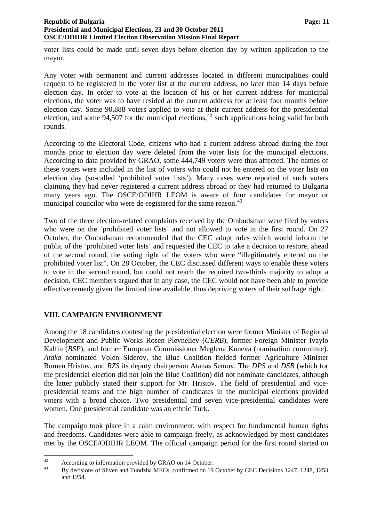voter lists could be made until seven days before election day by written application to the mayor.

Any voter with permanent and current addresses located in different municipalities could request to be registered in the voter list at the current address, no later than 14 days before election day. In order to vote at the location of his or her current address for municipal elections, the voter was to have resided at the current address for at least four months before election day. Some 90,888 voters applied to vote at their current address for the presidential election, and some 94,507 for the municipal elections,  $42$  such applications being valid for both rounds.

According to the Electoral Code, citizens who had a current address abroad during the four months prior to election day were deleted from the voter lists for the municipal elections. According to data provided by GRAO, some 444,749 voters were thus affected. The names of these voters were included in the list of voters who could not be entered on the voter lists on election day (so-called 'prohibited voter lists'). Many cases were reported of such voters claiming they had never registered a current address abroad or they had returned to Bulgaria many years ago. The OSCE/ODIHR LEOM is aware of four candidates for mayor or municipal councilor who were de-registered for the same reason.<sup>[43](#page-12-1)</sup>

Two of the three election-related complaints received by the Ombudsman were filed by voters who were on the 'prohibited voter lists' and not allowed to vote in the first round. On 27 October, the Ombudsman recommended that the CEC adopt rules which would inform the public of the 'prohibited voter lists' and requested the CEC to take a decision to restore, ahead of the second round, the voting right of the voters who were "illegitimately entered on the prohibited voter list". On 28 October, the CEC discussed different ways to enable these voters to vote in the second round, but could not reach the required two-thirds majority to adopt a decision. CEC members argued that in any case, the CEC would not have been able to provide effective remedy given the limited time available, thus depriving voters of their suffrage right.

## <span id="page-12-0"></span>**VIII. CAMPAIGN ENVIRONMENT**

Among the 18 candidates contesting the presidential election were former Minister of Regional Development and Public Works Rosen Plevneliev (*GERB*), former Foreign Minister Ivaylo Kalfin (*BSP*), and former European Commissioner Meglena Kuneva (nomination committee). *Ataka* nominated Volen Siderov, the Blue Coalition fielded former Agriculture Minister Rumen Hristov, and *RZS* its deputy chairperson Atanas Semov. The *DPS* and *DSB* (which for the presidential election did not join the Blue Coalition) did not nominate candidates, although the latter publicly stated their support for Mr. Hristov. The field of presidential and vicepresidential teams and the high number of candidates in the municipal elections provided voters with a broad choice. Two presidential and seven vice-presidential candidates were women. One presidential candidate was an ethnic Turk.

The campaign took place in a calm environment, with respect for fundamental human rights and freedoms. Candidates were able to campaign freely, as acknowledged by most candidates met by the OSCE/ODIHR LEOM. The official campaign period for the first round started on

<span id="page-12-2"></span><span id="page-12-1"></span> $\overline{A2}$  $^{42}$  According to information provided by GRAO on 14 October.<br><sup>43</sup> Py decisions of Sliven and Tundabe MECs, sonfirmed on 10

<sup>43</sup> By decisions of Sliven and Tundzha MECs, confirmed on 19 October by CEC Decisions 1247, 1248, 1253 and 1254.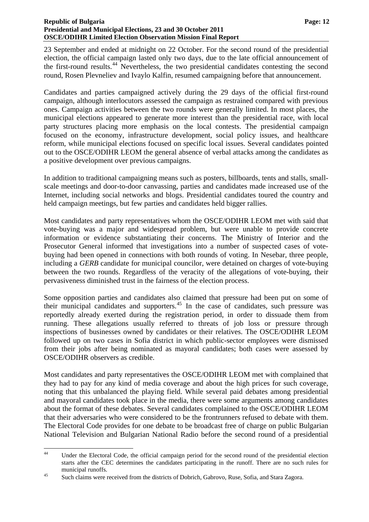#### **Republic of Bulgaria Page: 12 Page: 12 Page: 12 Presidential and Municipal Elections, 23 and 30 October 2011 OSCE/ODIHR Limited Election Observation Mission Final Report**

23 September and ended at midnight on 22 October. For the second round of the presidential election, the official campaign lasted only two days, due to the late official announcement of the first-round results.[44](#page-12-2) Nevertheless, the two presidential candidates contesting the second round, Rosen Plevneliev and Ivaylo Kalfin, resumed campaigning before that announcement.

Candidates and parties campaigned actively during the 29 days of the official first-round campaign, although interlocutors assessed the campaign as restrained compared with previous ones. Campaign activities between the two rounds were generally limited. In most places, the municipal elections appeared to generate more interest than the presidential race, with local party structures placing more emphasis on the local contests. The presidential campaign focused on the economy, infrastructure development, social policy issues, and healthcare reform, while municipal elections focused on specific local issues. Several candidates pointed out to the OSCE/ODIHR LEOM the general absence of verbal attacks among the candidates as a positive development over previous campaigns.

In addition to traditional campaigning means such as posters, billboards, tents and stalls, smallscale meetings and door-to-door canvassing, parties and candidates made increased use of the Internet, including social networks and blogs. Presidential candidates toured the country and held campaign meetings, but few parties and candidates held bigger rallies.

Most candidates and party representatives whom the OSCE/ODIHR LEOM met with said that vote-buying was a major and widespread problem, but were unable to provide concrete information or evidence substantiating their concerns. The Ministry of Interior and the Prosecutor General informed that investigations into a number of suspected cases of votebuying had been opened in connections with both rounds of voting. In Nesebar, three people, including a *GERB* candidate for municipal councilor, were detained on charges of vote-buying between the two rounds. Regardless of the veracity of the allegations of vote-buying, their pervasiveness diminished trust in the fairness of the election process.

Some opposition parties and candidates also claimed that pressure had been put on some of their municipal candidates and supporters.<sup>[45](#page-13-0)</sup> In the case of candidates, such pressure was reportedly already exerted during the registration period, in order to dissuade them from running. These allegations usually referred to threats of job loss or pressure through inspections of businesses owned by candidates or their relatives. The OSCE/ODIHR LEOM followed up on two cases in Sofia district in which public-sector employees were dismissed from their jobs after being nominated as mayoral candidates; both cases were assessed by OSCE/ODIHR observers as credible.

Most candidates and party representatives the OSCE/ODIHR LEOM met with complained that they had to pay for any kind of media coverage and about the high prices for such coverage, noting that this unbalanced the playing field. While several paid debates among presidential and mayoral candidates took place in the media, there were some arguments among candidates about the format of these debates. Several candidates complained to the OSCE/ODIHR LEOM that their adversaries who were considered to be the frontrunners refused to debate with them. The Electoral Code provides for one debate to be broadcast free of charge on public Bulgarian National Television and Bulgarian National Radio before the second round of a presidential

<span id="page-13-1"></span><sup>44</sup> Under the Electoral Code, the official campaign period for the second round of the presidential election starts after the CEC determines the candidates participating in the runoff. There are no such rules for

<span id="page-13-0"></span>municipal runoffs.<br>
Such claims were received from the districts of Dobrich, Gabrovo, Ruse, Sofia, and Stara Zagora.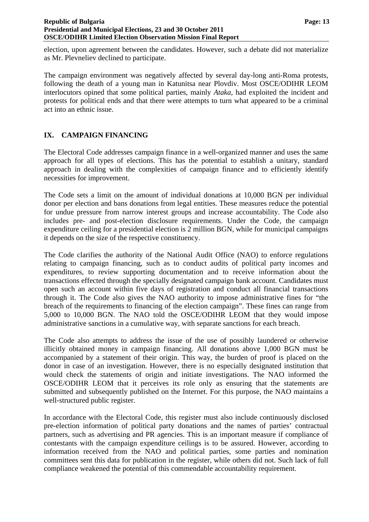election, upon agreement between the candidates. However, such a debate did not materialize as Mr. Plevneliev declined to participate.

The campaign environment was negatively affected by several day-long anti-Roma protests, following the death of a young man in Katunitsa near Plovdiv. Most OSCE/ODIHR LEOM interlocutors opined that some political parties, mainly *Ataka*, had exploited the incident and protests for political ends and that there were attempts to turn what appeared to be a criminal act into an ethnic issue.

## <span id="page-14-0"></span>**IX. CAMPAIGN FINANCING**

The Electoral Code addresses campaign finance in a well-organized manner and uses the same approach for all types of elections. This has the potential to establish a unitary, standard approach in dealing with the complexities of campaign finance and to efficiently identify necessities for improvement.

The Code sets a limit on the amount of individual donations at 10,000 BGN per individual donor per election and bans donations from legal entities. These measures reduce the potential for undue pressure from narrow interest groups and increase accountability. The Code also includes pre- and post-election disclosure requirements. Under the Code, the campaign expenditure ceiling for a presidential election is 2 million BGN, while for municipal campaigns it depends on the size of the respective constituency.

The Code clarifies the authority of the National Audit Office (NAO) to enforce regulations relating to campaign financing, such as to conduct audits of political party incomes and expenditures, to review supporting documentation and to receive information about the transactions effected through the specially designated campaign bank account. Candidates must open such an account within five days of registration and conduct all financial transactions through it. The Code also gives the NAO authority to impose administrative fines for "the breach of the requirements to financing of the election campaign". These fines can range from 5,000 to 10,000 BGN. The NAO told the OSCE/ODIHR LEOM that they would impose administrative sanctions in a cumulative way, with separate sanctions for each breach.

The Code also attempts to address the issue of the use of possibly laundered or otherwise illicitly obtained money in campaign financing. All donations above 1,000 BGN must be accompanied by a statement of their origin. This way, the burden of proof is placed on the donor in case of an investigation. However, there is no especially designated institution that would check the statements of origin and initiate investigations. The NAO informed the OSCE/ODIHR LEOM that it perceives its role only as ensuring that the statements are submitted and subsequently published on the Internet. For this purpose, the NAO maintains a well-structured public register.

In accordance with the Electoral Code, this register must also include continuously disclosed pre-election information of political party donations and the names of parties' contractual partners, such as advertising and PR agencies. This is an important measure if compliance of contestants with the campaign expenditure ceilings is to be assured. However, according to information received from the NAO and political parties, some parties and nomination committees sent this data for publication in the register, while others did not. Such lack of full compliance weakened the potential of this commendable accountability requirement.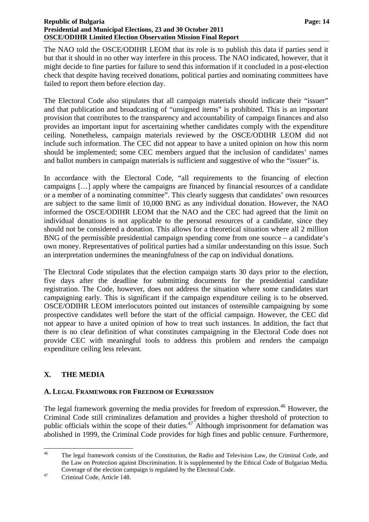#### **Republic of Bulgaria Page: 14 Page: 14 Page: 14 Page: 14 Page: 14 Presidential and Municipal Elections, 23 and 30 October 2011 OSCE/ODIHR Limited Election Observation Mission Final Report**

The NAO told the OSCE/ODIHR LEOM that its role is to publish this data if parties send it but that it should in no other way interfere in this process. The NAO indicated, however, that it might decide to fine parties for failure to send this information if it concluded in a post-election check that despite having received donations, political parties and nominating committees have failed to report them before election day.

The Electoral Code also stipulates that all campaign materials should indicate their "issuer" and that publication and broadcasting of "unsigned items" is prohibited. This is an important provision that contributes to the transparency and accountability of campaign finances and also provides an important input for ascertaining whether candidates comply with the expenditure ceiling. Nonetheless, campaign materials reviewed by the OSCE/ODIHR LEOM did not include such information. The CEC did not appear to have a united opinion on how this norm should be implemented; some CEC members argued that the inclusion of candidates' names and ballot numbers in campaign materials is sufficient and suggestive of who the "issuer" is.

In accordance with the Electoral Code, "all requirements to the financing of election campaigns […] apply where the campaigns are financed by financial resources of a candidate or a member of a nominating committee". This clearly suggests that candidates' own resources are subject to the same limit of 10,000 BNG as any individual donation. However, the NAO informed the OSCE/ODIHR LEOM that the NAO and the CEC had agreed that the limit on individual donations is not applicable to the personal resources of a candidate, since they should not be considered a donation. This allows for a theoretical situation where all 2 million BNG of the permissible presidential campaign spending come from one source – a candidate's own money. Representatives of political parties had a similar understanding on this issue. Such an interpretation undermines the meaningfulness of the cap on individual donations.

The Electoral Code stipulates that the election campaign starts 30 days prior to the election, five days after the deadline for submitting documents for the presidential candidate registration. The Code, however, does not address the situation where some candidates start campaigning early. This is significant if the campaign expenditure ceiling is to be observed. OSCE/ODIHR LEOM interlocutors pointed out instances of ostensible campaigning by some prospective candidates well before the start of the official campaign. However, the CEC did not appear to have a united opinion of how to treat such instances. In addition, the fact that there is no clear definition of what constitutes campaigning in the Electoral Code does not provide CEC with meaningful tools to address this problem and renders the campaign expenditure ceiling less relevant.

## <span id="page-15-0"></span>**X. THE MEDIA**

## <span id="page-15-3"></span><span id="page-15-1"></span>**A. LEGAL FRAMEWORK FOR FREEDOM OF EXPRESSION**

The legal framework governing the media provides for freedom of expression.<sup>[46](#page-13-1)</sup> However, the Criminal Code still criminalizes defamation and provides a higher threshold of protection to public officials within the scope of their duties.<sup>[47](#page-15-2)</sup> Although imprisonment for defamation was abolished in 1999, the Criminal Code provides for high fines and public censure. Furthermore,

 $46$ 46 The legal framework consists of the Constitution, the Radio and Television Law, the Criminal Code, and the Law on Protection against Discrimination. It is supplemented by the Ethical Code of Bulgarian Media. Coverage of the election campaign is regulated by the Electoral Code.<br>Criminal Code, Article 148.

<span id="page-15-2"></span>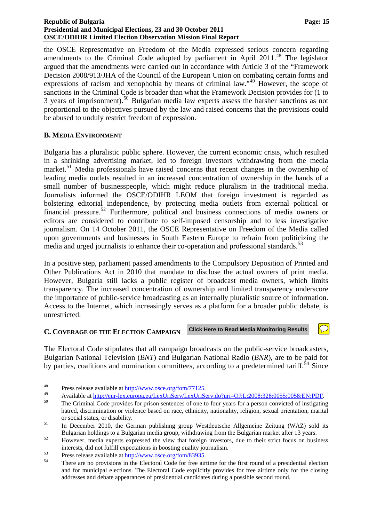#### **Republic of Bulgaria Page: 15 Page: 15 Presidential and Municipal Elections, 23 and 30 October 2011 OSCE/ODIHR Limited Election Observation Mission Final Report**

the OSCE Representative on Freedom of the Media expressed serious concern regarding amendments to the Criminal Code adopted by parliament in April  $2011<sup>48</sup>$  $2011<sup>48</sup>$  $2011<sup>48</sup>$  The legislator argued that the amendments were carried out in accordance with Article 3 of the "Framework Decision 2008/913/JHA of the Council of the European Union on combating certain forms and expressions of racism and xenophobia by means of criminal law."<sup>[49](#page-16-2)</sup> However, the scope of sanctions in the Criminal Code is broader than what the Framework Decision provides for (1 to 3 years of imprisonment).<sup>[50](#page-16-3)</sup> Bulgarian media law experts assess the harsher sanctions as not proportional to the objectives pursued by the law and raised concerns that the provisions could be abused to unduly restrict freedom of expression.

## <span id="page-16-0"></span>**B. MEDIA ENVIRONMENT**

Bulgaria has a pluralistic public sphere. However, the current economic crisis, which resulted in a shrinking advertising market, led to foreign investors withdrawing from the media market.<sup>[51](#page-16-4)</sup> Media professionals have raised concerns that recent changes in the ownership of leading media outlets resulted in an increased concentration of ownership in the hands of a small number of businesspeople, which might reduce pluralism in the traditional media. Journalists informed the OSCE/ODIHR LEOM that foreign investment is regarded as bolstering editorial independence, by protecting media outlets from external political or financial pressure.<sup>[52](#page-16-5)</sup> Furthermore, political and business connections of media owners or editors are considered to contribute to self-imposed censorship and to less investigative journalism. On 14 October 2011, the OSCE Representative on Freedom of the Media called upon governments and businesses in South Eastern Europe to refrain from politicizing the media and urged journalists to enhance their co-operation and professional standards.<sup>[53](#page-16-6)</sup>

In a positive step, parliament passed amendments to the Compulsory Deposition of Printed and Other Publications Act in 2010 that mandate to disclose the actual owners of print media. However, Bulgaria still lacks a public register of broadcast media owners, which limits transparency. The increased concentration of ownership and limited transparency underscore the importance of public-service broadcasting as an internally pluralistic source of information. Access to the Internet, which increasingly serves as a platform for a broader public debate, is unrestricted.

#### <span id="page-16-8"></span><span id="page-16-1"></span>**C. COVERAGE OF THE ELECTION CAMPAIGN Click Here to Read Media Monitoring Results**

The Electoral Code stipulates that all campaign broadcasts on the public-service broadcasters, Bulgarian National Television (*BNT*) and Bulgarian National Radio (*BNR*), are to be paid for by parties, coalitions and nomination committees, according to a predetermined tariff.<sup>[54](#page-16-7)</sup> Since

 $\bigcirc$ 

<sup>48</sup> 

<span id="page-16-2"></span><sup>&</sup>lt;sup>48</sup> Press release available at <u>http://www.osce.org/fom/77125</u>.<br>
Available at <u>http://eur-lex.europa.eu/LexUriServ/LexUriServ.do?uri=OJ:L:2008:328:0055:0058:EN:PDF</u>.<br>
<sup>50</sup> The Criminal Code provides for prison sentences o

<span id="page-16-3"></span>hatred, discrimination or violence based on race, ethnicity, nationality, religion, sexual orientation, marital

<span id="page-16-4"></span>or social status, or disability.<br>
In December 2010, the German publishing group Westdeutsche Allgemeine Zeitung (WAZ) sold its Bulgarian holdings to a Bulgarian media group, withdrawing from the Bulgarian market after 13 years.<br>52 However, media experts expressed the view that foreign investors, due to their strict focus on business

<span id="page-16-5"></span>interests, did not fulfill expectations in boosting quality journalism.<br>
<sup>53</sup> Press release available at <u>http://www.osce.org/fom/83935</u>.<br>
There are no provisions in the Electoral Code for free airtime for the first round

<span id="page-16-6"></span>

<span id="page-16-7"></span>and for municipal elections. The Electoral Code explicitly provides for free airtime only for the closing addresses and debate appearances of presidential candidates during a possible second round.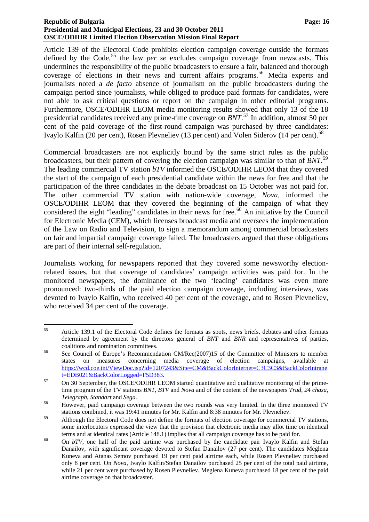#### **Republic of Bulgaria Page: 16 Page: 16 Page: 16 Page: 16 Page: 16 Page: 16 Page: 16 Page: 16 Presidential and Municipal Elections, 23 and 30 October 2011 OSCE/ODIHR Limited Election Observation Mission Final Report**

Article 139 of the Electoral Code prohibits election campaign coverage outside the formats defined by the Code,<sup>[55](#page-16-8)</sup> the law *per se* excludes campaign coverage from newscasts. This undermines the responsibility of the public broadcasters to ensure a fair, balanced and thorough coverage of elections in their news and current affairs programs.<sup>[56](#page-17-0)</sup> Media experts and journalists noted a *de facto* absence of journalism on the public broadcasters during the campaign period since journalists, while obliged to produce paid formats for candidates, were not able to ask critical questions or report on the campaign in other editorial programs. Furthermore, OSCE/ODIHR LEOM media monitoring results showed that only 13 of the 18 presidential candidates received any prime-time coverage on *BNT*. [57](#page-17-1) In addition, almost 50 per cent of the paid coverage of the first-round campaign was purchased by three candidates: Ivaylo Kalfin (20 per cent), Rosen Plevneliev (13 per cent) and Volen Siderov (14 per cent).<sup>[58](#page-17-2)</sup>

Commercial broadcasters are not explicitly bound by the same strict rules as the public broadcasters, but their pattern of covering the election campaign was similar to that of *BNT*. [59](#page-17-3) The leading commercial TV station *bTV* informed the OSCE/ODIHR LEOM that they covered the start of the campaign of each presidential candidate within the news for free and that the participation of the three candidates in the debate broadcast on 15 October was not paid for. The other commercial TV station with nation-wide coverage, *Nova*, informed the OSCE/ODIHR LEOM that they covered the beginning of the campaign of what they considered the eight "leading" candidates in their news for free.<sup>[60](#page-17-4)</sup> An initiative by the Council for Electronic Media (CEM), which licenses broadcast media and oversees the implementation of the Law on Radio and Television, to sign a memorandum among commercial broadcasters on fair and impartial campaign coverage failed. The broadcasters argued that these obligations are part of their internal self-regulation.

Journalists working for newspapers reported that they covered some newsworthy electionrelated issues, but that coverage of candidates' campaign activities was paid for. In the monitored newspapers, the dominance of the two 'leading' candidates was even more pronounced: two-thirds of the paid election campaign coverage, including interviews, was devoted to Ivaylo Kalfin, who received 40 per cent of the coverage, and to Rosen Plevneliev, who received 34 per cent of the coverage.

<sup>55</sup> 55 Article 139.1 of the Electoral Code defines the formats as spots, news briefs, debates and other formats determined by agreement by the directors general of *BNT* and *BNR* and representatives of parties,

<span id="page-17-0"></span>coalitions and nomination committees.<br>
See Council of Europe's Recommendation CM/Rec(2007)15 of the Committee of Ministers to member states on measures concerning media coverage of election campaigns, available at [https://wcd.coe.int/ViewDoc.jsp?id=1207243&Site=CM&BackColorInternet=C3C3C3&BackColorIntrane](https://wcd.coe.int/ViewDoc.jsp?id=1207243&Site=CM&BackColorInternet=C3C3C3&BackColorIntranet=EDB021&BackColorLogged=F5D383)

<span id="page-17-1"></span>[t=EDB021&BackColorLogged=F5D383.](https://wcd.coe.int/ViewDoc.jsp?id=1207243&Site=CM&BackColorInternet=C3C3C3&BackColorIntranet=EDB021&BackColorLogged=F5D383)<br>
On 30 September, the OSCE/ODIHR LEOM started quantitative and qualitative monitoring of the primetime program of the TV stations *BNT*, *BTV* and *Nova* and of the content of the newspapers *Trud*, *24 chasa*,

<span id="page-17-5"></span><span id="page-17-2"></span>*Telegraph*, *Standart* and *Sega*.<br><sup>58</sup> However, paid campaign coverage between the two rounds was very limited. In the three monitored TV stations combined, it was 19:41 minutes for Mr. Kalfin and 8:38 minutes for Mr. Plevneliev.

<span id="page-17-3"></span><sup>&</sup>lt;sup>59</sup> Although the Electoral Code does not define the formats of election coverage for commercial TV stations, some interlocutors expressed the view that the provision that electronic media may allot time on identical

<span id="page-17-4"></span>terms and at identical rates (Article 148.1) implies that all campaign coverage has to be paid for.<br><sup>60</sup> On *bTV*, one half of the paid airtime was purchased by the candidate pair Ivaylo Kalfin and Stefan Danailov, with significant coverage devoted to Stefan Danailov (27 per cent). The candidates Meglena Kuneva and Atanas Semov purchased 19 per cent paid airtime each, while Rosen Plevneliev purchased only 8 per cent. On *Nova*, Ivaylo Kalfin/Stefan Danailov purchased 25 per cent of the total paid airtime, while 21 per cent were purchased by Rosen Plevneliev. Meglena Kuneva purchased 18 per cent of the paid airtime coverage on that broadcaster.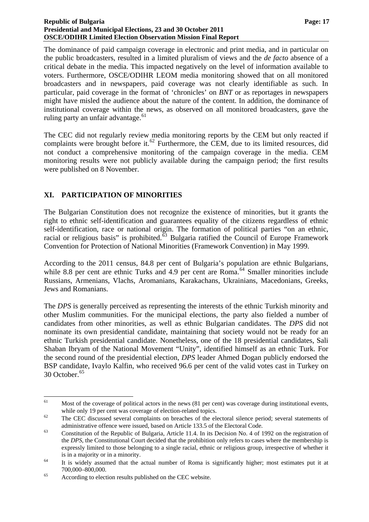#### **Republic of Bulgaria Page: 17 Page: 17 Presidential and Municipal Elections, 23 and 30 October 2011 OSCE/ODIHR Limited Election Observation Mission Final Report**

The dominance of paid campaign coverage in electronic and print media, and in particular on the public broadcasters, resulted in a limited pluralism of views and the *de facto* absence of a critical debate in the media. This impacted negatively on the level of information available to voters. Furthermore, OSCE/ODIHR LEOM media monitoring showed that on all monitored broadcasters and in newspapers, paid coverage was not clearly identifiable as such. In particular, paid coverage in the format of 'chronicles' on *BNT* or as reportages in newspapers might have misled the audience about the nature of the content. In addition, the dominance of institutional coverage within the news, as observed on all monitored broadcasters, gave the ruling party an unfair advantage. $61$ 

The CEC did not regularly review media monitoring reports by the CEM but only reacted if complaints were brought before it. $62$  Furthermore, the CEM, due to its limited resources, did not conduct a comprehensive monitoring of the campaign coverage in the media. CEM monitoring results were not publicly available during the campaign period; the first results were published on 8 November.

## <span id="page-18-0"></span>**XI. PARTICIPATION OF MINORITIES**

The Bulgarian Constitution does not recognize the existence of minorities, but it grants the right to ethnic self-identification and guarantees equality of the citizens regardless of ethnic self-identification, race or national origin. The formation of political parties "on an ethnic, racial or religious basis" is prohibited. $\frac{63}{9}$  $\frac{63}{9}$  $\frac{63}{9}$  Bulgaria ratified the Council of Europe Framework Convention for Protection of National Minorities (Framework Convention) in May 1999.

According to the 2011 census, 84.8 per cent of Bulgaria's population are ethnic Bulgarians, while 8.8 per cent are ethnic Turks and 4.9 per cent are Roma.<sup>[64](#page-18-3)</sup> Smaller minorities include Russians, Armenians, Vlachs, Aromanians, Karakachans, Ukrainians, Macedonians, Greeks, Jews and Romanians.

The *DPS* is generally perceived as representing the interests of the ethnic Turkish minority and other Muslim communities. For the municipal elections, the party also fielded a number of candidates from other minorities, as well as ethnic Bulgarian candidates. The *DPS* did not nominate its own presidential candidate, maintaining that society would not be ready for an ethnic Turkish presidential candidate. Nonetheless, one of the 18 presidential candidates, Sali Shaban Ibryam of the National Movement "Unity", identified himself as an ethnic Turk. For the second round of the presidential election, *DPS* leader Ahmed Dogan publicly endorsed the BSP candidate, Ivaylo Kalfin, who received 96.6 per cent of the valid votes cast in Turkey on 30 October.<sup>[65](#page-18-4)</sup>

<u>.</u>

<span id="page-18-5"></span> $61$  Most of the coverage of political actors in the news (81 per cent) was coverage during institutional events, while only 19 per cent was coverage of election-related topics.<br>The CEC discussed several complaints on breaches of the electoral silence period; several statements of

<span id="page-18-1"></span>

<span id="page-18-2"></span>administrative offence were issued, based on Article 133.5 of the Electoral Code.<br>
<sup>63</sup> Constitution of the Republic of Bulgaria, Article 11.4. In its Decision No. 4 of 1992 on the registration of the *DPS*, the Constitutional Court decided that the prohibition only refers to cases where the membership is expressly limited to those belonging to a single racial, ethnic or religious group, irrespective of whether it

is in a majority or in a minority.<br><sup>64</sup> It is widely assumed that the actual number of Roma is significantly higher; most estimates put it at

<span id="page-18-4"></span><span id="page-18-3"></span><sup>700,000–800,000. 65</sup> According to election results published on the CEC website.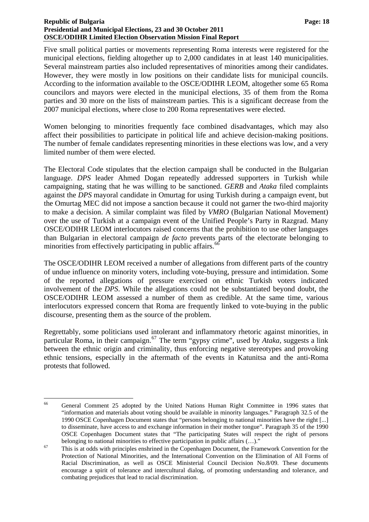#### **Republic of Bulgaria Page: 18 Page: 18 Page: 18 Presidential and Municipal Elections, 23 and 30 October 2011 OSCE/ODIHR Limited Election Observation Mission Final Report**

Five small political parties or movements representing Roma interests were registered for the municipal elections, fielding altogether up to 2,000 candidates in at least 140 municipalities. Several mainstream parties also included representatives of minorities among their candidates. However, they were mostly in low positions on their candidate lists for municipal councils. According to the information available to the OSCE/ODIHR LEOM, altogether some 65 Roma councilors and mayors were elected in the municipal elections, 35 of them from the Roma parties and 30 more on the lists of mainstream parties. This is a significant decrease from the 2007 municipal elections, where close to 200 Roma representatives were elected.

Women belonging to minorities frequently face combined disadvantages, which may also affect their possibilities to participate in political life and achieve decision-making positions. The number of female candidates representing minorities in these elections was low, and a very limited number of them were elected.

The Electoral Code stipulates that the election campaign shall be conducted in the Bulgarian language. *DPS* leader Ahmed Dogan repeatedly addressed supporters in Turkish while campaigning, stating that he was willing to be sanctioned. *GERB* and *Ataka* filed complaints against the *DPS* mayoral candidate in Omurtag for using Turkish during a campaign event, but the Omurtag MEC did not impose a sanction because it could not garner the two-third majority to make a decision. A similar complaint was filed by *VMRO* (Bulgarian National Movement) over the use of Turkish at a campaign event of the Unified People's Party in Razgrad. Many OSCE/ODIHR LEOM interlocutors raised concerns that the prohibition to use other languages than Bulgarian in electoral campaign *de facto* prevents parts of the electorate belonging to minorities from effectively participating in public affairs.<sup>[66](#page-18-5)</sup>

The OSCE/ODIHR LEOM received a number of allegations from different parts of the country of undue influence on minority voters, including vote-buying, pressure and intimidation. Some of the reported allegations of pressure exercised on ethnic Turkish voters indicated involvement of the *DPS*. While the allegations could not be substantiated beyond doubt, the OSCE/ODIHR LEOM assessed a number of them as credible. At the same time, various interlocutors expressed concern that Roma are frequently linked to vote-buying in the public discourse, presenting them as the source of the problem.

Regrettably, some politicians used intolerant and inflammatory rhetoric against minorities, in particular Roma, in their campaign.<sup>[67](#page-19-0)</sup> The term "gypsy crime", used by *Ataka*, suggests a link between the ethnic origin and criminality, thus enforcing negative stereotypes and provoking ethnic tensions, especially in the aftermath of the events in Katunitsa and the anti-Roma protests that followed.

<sup>66</sup> 66 General Comment 25 adopted by the United Nations Human Right Committee in 1996 states that "information and materials about voting should be available in minority languages." Paragraph 32.5 of the 1990 OSCE Copenhagen Document states that "persons belonging to national minorities have the right [...] to disseminate, have access to and exchange information in their mother tongue". Paragraph 35 of the 1990 OSCE Copenhagen Document states that "The participating States will respect the right of persons

<span id="page-19-1"></span><span id="page-19-0"></span>belonging to national minorities to effective participation in public affairs  $(\ldots)$ ."<br><sup>67</sup> This is at odds with principles enshrined in the Copenhagen Document, the Framework Convention for the Protection of National Minorities, and the International Convention on the Elimination of All Forms of Racial Discrimination, as well as OSCE Ministerial Council Decision No.8/09. These documents encourage a spirit of tolerance and intercultural dialog, of promoting understanding and tolerance, and combating prejudices that lead to racial discrimination.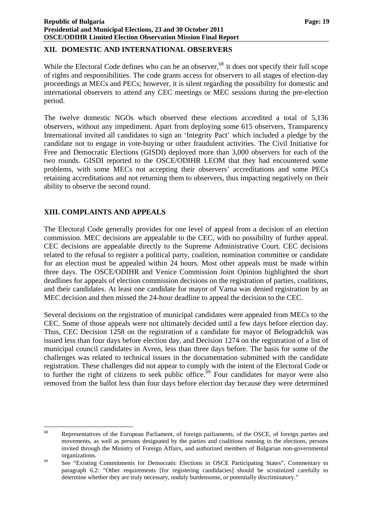## <span id="page-20-0"></span>**XII. DOMESTIC AND INTERNATIONAL OBSERVERS**

While the Electoral Code defines who can be an observer,  $68$  it does not specify their full scope of rights and responsibilities. The code grants access for observers to all stages of election-day proceedings at MECs and PECs; however, it is silent regarding the possibility for domestic and international observers to attend any CEC meetings or MEC sessions during the pre-election period.

The twelve domestic NGOs which observed these elections accredited a total of 5,136 observers, without any impediment. Apart from deploying some 615 observers, Transparency International invited all candidates to sign an 'Integrity Pact' which included a pledge by the candidate not to engage in vote-buying or other fraudulent activities. The Civil Initiative for Free and Democratic Elections (GISDI) deployed more than 3,000 observers for each of the two rounds. GISDI reported to the OSCE/ODIHR LEOM that they had encountered some problems, with some MECs not accepting their observers' accreditations and some PECs retaining accreditations and not returning them to observers, thus impacting negatively on their ability to observe the second round.

## <span id="page-20-1"></span>**XIII. COMPLAINTS AND APPEALS**

The Electoral Code generally provides for one level of appeal from a decision of an election commission. MEC decisions are appealable to the CEC, with no possibility of further appeal. CEC decisions are appealable directly to the Supreme Administrative Court. CEC decisions related to the refusal to register a political party, coalition, nomination committee or candidate for an election must be appealed within 24 hours. Most other appeals must be made within three days. The OSCE/ODIHR and Venice Commission Joint Opinion highlighted the short deadlines for appeals of election commission decisions on the registration of parties, coalitions, and their candidates. At least one candidate for mayor of Varna was denied registration by an MEC decision and then missed the 24-hour deadline to appeal the decision to the CEC.

<span id="page-20-3"></span>Several decisions on the registration of municipal candidates were appealed from MECs to the CEC. Some of those appeals were not ultimately decided until a few days before election day. Thus, CEC Decision 1258 on the registration of a candidate for mayor of Belogradchik was issued less than four days before election day, and Decision 1274 on the registration of a list of municipal council candidates in Avren, less than three days before. The basis for some of the challenges was related to technical issues in the documentation submitted with the candidate registration. These challenges did not appear to comply with the intent of the Electoral Code or to further the right of citizens to seek public office.[69](#page-20-2) Four candidates for mayor were also removed from the ballot less than four days before election day because they were determined

<sup>68</sup> Representatives of the European Parliament, of foreign parliaments, of the OSCE, of foreign parties and movements, as well as persons designated by the parties and coalitions running in the elections, persons invited through the Ministry of Foreign Affairs, and authorized members of Bulgarian non-governmental

<span id="page-20-2"></span>organizations.<br>
69 See "Existing Commitments for Democratic Elections in OSCE Participating States", Commentary to paragraph 6.2: "Other requirements [for registering candidacies] should be scrutinized carefully to determine whether they are truly necessary, unduly burdensome, or potentially discriminatory."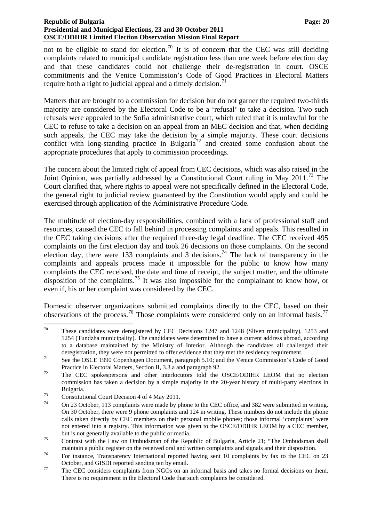#### **Republic of Bulgaria Page: 20 Page: 20 Page: 20 Page: 20 Page: 20 Page: 20 Page: 20 Page: 20 Page: 20 Presidential and Municipal Elections, 23 and 30 October 2011 OSCE/ODIHR Limited Election Observation Mission Final Report**

not to be eligible to stand for election.<sup>[70](#page-20-3)</sup> It is of concern that the CEC was still deciding complaints related to municipal candidate registration less than one week before election day and that these candidates could not challenge their de-registration in court. OSCE commitments and the Venice Commission's Code of Good Practices in Electoral Matters require both a right to judicial appeal and a timely decision.<sup>[71](#page-21-0)</sup>

Matters that are brought to a commission for decision but do not garner the required two-thirds majority are considered by the Electoral Code to be a 'refusal' to take a decision. Two such refusals were appealed to the Sofia administrative court, which ruled that it is unlawful for the CEC to refuse to take a decision on an appeal from an MEC decision and that, when deciding such appeals, the CEC may take the decision by a simple majority. These court decisions conflict with long-standing practice in Bulgaria<sup>[72](#page-21-1)</sup> and created some confusion about the appropriate procedures that apply to commission proceedings.

The concern about the limited right of appeal from CEC decisions, which was also raised in the Joint Opinion, was partially addressed by a Constitutional Court ruling in May 2011.<sup>[73](#page-21-2)</sup> The Court clarified that, where rights to appeal were not specifically defined in the Electoral Code, the general right to judicial review guaranteed by the Constitution would apply and could be exercised through application of the Administrative Procedure Code.

The multitude of election-day responsibilities, combined with a lack of professional staff and resources, caused the CEC to fall behind in processing complaints and appeals. This resulted in the CEC taking decisions after the required three-day legal deadline. The CEC received 495 complaints on the first election day and took 26 decisions on those complaints. On the second election day, there were 133 complaints and 3 decisions.<sup>[74](#page-21-3)</sup> The lack of transparency in the complaints and appeals process made it impossible for the public to know how many complaints the CEC received, the date and time of receipt, the subject matter, and the ultimate disposition of the complaints.<sup>[75](#page-21-4)</sup> It was also impossible for the complainant to know how, or even if, his or her complaint was considered by the CEC.

Domestic observer organizations submitted complaints directly to the CEC, based on their observations of the process.<sup>[76](#page-21-5)</sup> Those complaints were considered only on an informal basis.<sup>[77](#page-21-6)</sup>

<sup>70</sup> These candidates were deregistered by CEC Decisions 1247 and 1248 (Sliven municipality), 1253 and 1254 (Tundzha municipality). The candidates were determined to have a current address abroad, according to a database maintained by the Ministry of Interior. Although the candidates all challenged their

deregistration, they were not permitted to offer evidence that they met the residency requirement.<br><sup>71</sup> See the OSCE 1990 Copenhagen Document, paragraph 5.10; and the Venice Commission's Code of Good

<span id="page-21-1"></span><span id="page-21-0"></span>Practice in Electoral Matters, Section II, 3.3 a and paragraph 92.<br>The CEC spokespersons and other interlocutors told the OSCE/ODIHR LEOM that no election commission has taken a decision by a simple majority in the 20-year history of multi-party elections in

<span id="page-21-2"></span>Bulgaria.<br>
Constitutional Court Decision 4 of 4 May 2011.

<span id="page-21-3"></span>On 23 October, 113 complaints were made by phone to the CEC office, and 382 were submitted in writing. On 30 October, there were 9 phone complaints and 124 in writing. These numbers do not include the phone calls taken directly by CEC members on their personal mobile phones; those informal 'complaints' were not entered into a registry. This information was given to the OSCE/ODIHR LEOM by a CEC member,

<span id="page-21-7"></span><span id="page-21-4"></span>but is not generally available to the public or media.<br><sup>75</sup> Contrast with the Law on Ombudsman of the Republic of Bulgaria, Article 21; "The Ombudsman shall

<span id="page-21-5"></span>maintain a public register on the received oral and written complaints and signals and their disposition.<br><sup>76</sup> For instance, Transparency International reported having sent 10 complaints by fax to the CEC on 23

<span id="page-21-6"></span>October, and GISDI reported sending ten by email.<br><sup>77</sup> The CEC considers complaints from NGOs on an informal basis and takes no formal decisions on them. There is no requirement in the Electoral Code that such complaints be considered.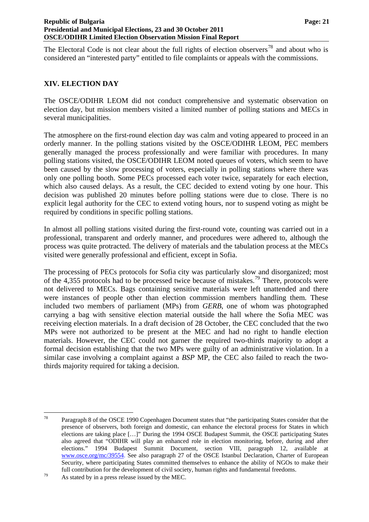The Electoral Code is not clear about the full rights of election observers<sup>[78](#page-21-7)</sup> and about who is considered an "interested party" entitled to file complaints or appeals with the commissions.

## <span id="page-22-0"></span>**XIV. ELECTION DAY**

The OSCE/ODIHR LEOM did not conduct comprehensive and systematic observation on election day, but mission members visited a limited number of polling stations and MECs in several municipalities.

The atmosphere on the first-round election day was calm and voting appeared to proceed in an orderly manner. In the polling stations visited by the OSCE/ODIHR LEOM, PEC members generally managed the process professionally and were familiar with procedures. In many polling stations visited, the OSCE/ODIHR LEOM noted queues of voters, which seem to have been caused by the slow processing of voters, especially in polling stations where there was only one polling booth. Some PECs processed each voter twice, separately for each election, which also caused delays. As a result, the CEC decided to extend voting by one hour. This decision was published 20 minutes before polling stations were due to close. There is no explicit legal authority for the CEC to extend voting hours, nor to suspend voting as might be required by conditions in specific polling stations.

In almost all polling stations visited during the first-round vote, counting was carried out in a professional, transparent and orderly manner, and procedures were adhered to, although the process was quite protracted. The delivery of materials and the tabulation process at the MECs visited were generally professional and efficient, except in Sofia.

The processing of PECs protocols for Sofia city was particularly slow and disorganized; most of the 4,355 protocols had to be processed twice because of mistakes.<sup>[79](#page-22-1)</sup> There, protocols were not delivered to MECs. Bags containing sensitive materials were left unattended and there were instances of people other than election commission members handling them. These included two members of parliament (MPs) from *GERB*, one of whom was photographed carrying a bag with sensitive election material outside the hall where the Sofia MEC was receiving election materials. In a draft decision of 28 October, the CEC concluded that the two MPs were not authorized to be present at the MEC and had no right to handle election materials. However, the CEC could not garner the required two-thirds majority to adopt a formal decision establishing that the two MPs were guilty of an administrative violation. In a similar case involving a complaint against a *BSP* MP, the CEC also failed to reach the twothirds majority required for taking a decision.

<span id="page-22-2"></span><sup>78</sup> Paragraph 8 of the OSCE 1990 Copenhagen Document states that "the participating States consider that the presence of observers, both foreign and domestic, can enhance the electoral process for States in which elections are taking place […]" During the 1994 OSCE Budapest Summit, the OSCE participating States also agreed that "ODIHR will play an enhanced role in election monitoring, before, during and after elections." 1994 Budapest Summit Document, section VIII, paragraph 12, available at [www.osce.org/mc/39554.](http://www.osce.org/mc/39554) See also paragraph 27 of the OSCE Istanbul Declaration, Charter of European Security, where participating States committed themselves to enhance the ability of NGOs to make their full contribution for the development of civil society, human rights and fundamental freedoms.

<span id="page-22-1"></span><sup>79</sup> As stated by in a press release issued by the MEC.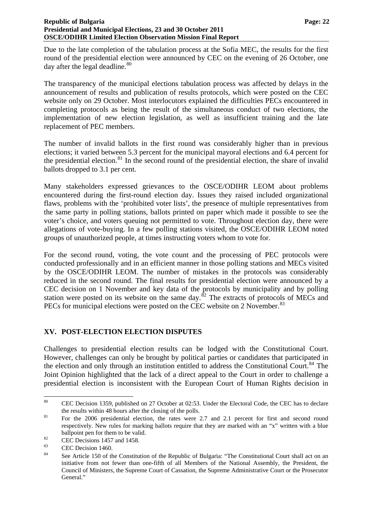Due to the late completion of the tabulation process at the Sofia MEC, the results for the first round of the presidential election were announced by CEC on the evening of 26 October, one day after the legal deadline.<sup>[80](#page-22-2)</sup>

The transparency of the municipal elections tabulation process was affected by delays in the announcement of results and publication of results protocols, which were posted on the CEC website only on 29 October. Most interlocutors explained the difficulties PECs encountered in completing protocols as being the result of the simultaneous conduct of two elections, the implementation of new election legislation, as well as insufficient training and the late replacement of PEC members.

The number of invalid ballots in the first round was considerably higher than in previous elections; it varied between 5.3 percent for the municipal mayoral elections and 6.4 percent for the presidential election.<sup>[81](#page-23-1)</sup> In the second round of the presidential election, the share of invalid ballots dropped to 3.1 per cent.

Many stakeholders expressed grievances to the OSCE/ODIHR LEOM about problems encountered during the first-round election day. Issues they raised included organizational flaws, problems with the 'prohibited voter lists', the presence of multiple representatives from the same party in polling stations, ballots printed on paper which made it possible to see the voter's choice, and voters queuing not permitted to vote. Throughout election day, there were allegations of vote-buying. In a few polling stations visited, the OSCE/ODIHR LEOM noted groups of unauthorized people, at times instructing voters whom to vote for.

For the second round, voting, the vote count and the processing of PEC protocols were conducted professionally and in an efficient manner in those polling stations and MECs visited by the OSCE/ODIHR LEOM. The number of mistakes in the protocols was considerably reduced in the second round. The final results for presidential election were announced by a CEC decision on 1 November and key data of the protocols by municipality and by polling station were posted on its website on the same day. $\frac{82}{2}$  $\frac{82}{2}$  $\frac{82}{2}$  The extracts of protocols of MECs and PECs for municipal elections were posted on the CEC website on 2 November.<sup>[83](#page-23-3)</sup>

## <span id="page-23-0"></span>**XV. POST-ELECTION ELECTION DISPUTES**

Challenges to presidential election results can be lodged with the Constitutional Court. However, challenges can only be brought by political parties or candidates that participated in the election and only through an institution entitled to address the Constitutional Court.<sup>[84](#page-23-4)</sup> The Joint Opinion highlighted that the lack of a direct appeal to the Court in order to challenge a presidential election is inconsistent with the European Court of Human Rights decision in

<sup>80</sup> CEC Decision 1359, published on 27 October at 02:53. Under the Electoral Code, the CEC has to declare

<span id="page-23-5"></span><span id="page-23-1"></span>the results within 48 hours after the closing of the polls.<br><sup>81</sup> For the 2006 presidential election, the rates were 2.7 and 2.1 percent for first and second round respectively. New rules for marking ballots require that they are marked with an "x" written with a blue ballpoint pen for them to be valid.<br>
CEC Decisions 1457 and 1458.

<span id="page-23-2"></span>

<span id="page-23-3"></span> $\frac{83}{84}$  CEC Decision 1460.

<span id="page-23-4"></span>See Article 150 of the Constitution of the Republic of Bulgaria: "The Constitutional Court shall act on an initiative from not fewer than one-fifth of all Members of the National Assembly, the President, the Council of Ministers, the Supreme Court of Cassation, the Supreme Administrative Court or the Prosecutor General."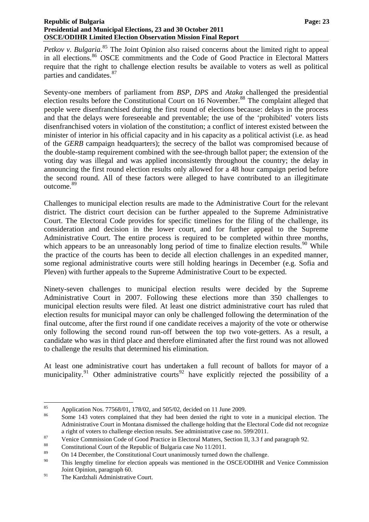Petkov v. Bulgaria.<sup>[85](#page-23-5)</sup> The Joint Opinion also raised concerns about the limited right to appeal in all elections.<sup>[86](#page-24-0)</sup> OSCE commitments and the Code of Good Practice in Electoral Matters require that the right to challenge election results be available to voters as well as political parties and candidates.<sup>[87](#page-24-1)</sup>

Seventy-one members of parliament from *BSP*, *DPS* and *Ataka* challenged the presidential election results before the Constitutional Court on 16 November.<sup>[88](#page-24-2)</sup> The complaint alleged that people were disenfranchised during the first round of elections because: delays in the process and that the delays were foreseeable and preventable; the use of the 'prohibited' voters lists disenfranchised voters in violation of the constitution; a conflict of interest existed between the minister of interior in his official capacity and in his capacity as a political activist (i.e. as head of the *GERB* campaign headquarters); the secrecy of the ballot was compromised because of the double-stamp requirement combined with the see-through ballot paper; the extension of the voting day was illegal and was applied inconsistently throughout the country; the delay in announcing the first round election results only allowed for a 48 hour campaign period before the second round. All of these factors were alleged to have contributed to an illegitimate outcome.[89](#page-24-3)

Challenges to municipal election results are made to the Administrative Court for the relevant district. The district court decision can be further appealed to the Supreme Administrative Court. The Electoral Code provides for specific timelines for the filing of the challenge, its consideration and decision in the lower court, and for further appeal to the Supreme Administrative Court. The entire process is required to be completed within three months, which appears to be an unreasonably long period of time to finalize election results.<sup>[90](#page-24-4)</sup> While the practice of the courts has been to decide all election challenges in an expedited manner, some regional administrative courts were still holding hearings in December (e.g. Sofia and Pleven) with further appeals to the Supreme Administrative Court to be expected.

Ninety-seven challenges to municipal election results were decided by the Supreme Administrative Court in 2007. Following these elections more than 350 challenges to municipal election results were filed. At least one district administrative court has ruled that election results for municipal mayor can only be challenged following the determination of the final outcome, after the first round if one candidate receives a majority of the vote or otherwise only following the second round run-off between the top two vote-getters. As a result, a candidate who was in third place and therefore eliminated after the first round was not allowed to challenge the results that determined his elimination.

At least one administrative court has undertaken a full recount of ballots for mayor of a municipality.<sup>[91](#page-24-5)</sup> Other administrative courts<sup>[92](#page-24-4)</sup> have explicitly rejected the possibility of a

 $85$ <sup>85</sup> Application Nos. 77568/01, 178/02, and 505/02, decided on 11 June 2009.<br><sup>86</sup> Same 142 veters completed that they had been donied the right to you

<span id="page-24-0"></span>Some 143 voters complained that they had been denied the right to vote in a municipal election. The Administrative Court in Montana dismissed the challenge holding that the Electoral Code did not recognize

<span id="page-24-1"></span>a right of voters to challenge election results. See administrative case no. 599/2011.<br>
Venice Commission Code of Good Practice in Electoral Matters, Section II, 3.3 f and paragraph 92.<br>
Constitutional Court of the Republ

<span id="page-24-2"></span>

<span id="page-24-3"></span><sup>&</sup>lt;sup>89</sup> On 14 December, the Constitutional Court unanimously turned down the challenge.

<span id="page-24-4"></span>This lengthy timeline for election appeals was mentioned in the OSCE/ODIHR and Venice Commission Joint Opinion, paragraph 60.

<span id="page-24-5"></span><sup>&</sup>lt;sup>91</sup> The Kardzhali Administrative Court.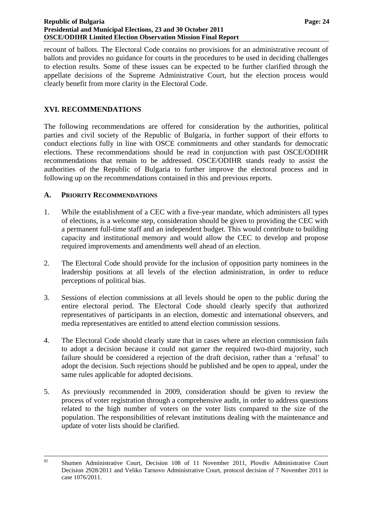#### **Republic of Bulgaria Page: 24 Page: 24 Page: 24 Page: 24 Page: 24 Presidential and Municipal Elections, 23 and 30 October 2011 OSCE/ODIHR Limited Election Observation Mission Final Report**

recount of ballots. The Electoral Code contains no provisions for an administrative recount of ballots and provides no guidance for courts in the procedures to be used in deciding challenges to election results. Some of these issues can be expected to be further clarified through the appellate decisions of the Supreme Administrative Court, but the election process would clearly benefit from more clarity in the Electoral Code.

## <span id="page-25-0"></span>**XVI. RECOMMENDATIONS**

The following recommendations are offered for consideration by the authorities, political parties and civil society of the Republic of Bulgaria, in further support of their efforts to conduct elections fully in line with OSCE commitments and other standards for democratic elections. These recommendations should be read in conjunction with past OSCE/ODIHR recommendations that remain to be addressed. OSCE/ODIHR stands ready to assist the authorities of the Republic of Bulgaria to further improve the electoral process and in following up on the recommendations contained in this and previous reports.

## <span id="page-25-1"></span>**A. PRIORITY RECOMMENDATIONS**

- 1. While the establishment of a CEC with a five-year mandate, which administers all types of elections, is a welcome step, consideration should be given to providing the CEC with a permanent full-time staff and an independent budget. This would contribute to building capacity and institutional memory and would allow the CEC to develop and propose required improvements and amendments well ahead of an election.
- 2. The Electoral Code should provide for the inclusion of opposition party nominees in the leadership positions at all levels of the election administration, in order to reduce perceptions of political bias.
- 3. Sessions of election commissions at all levels should be open to the public during the entire electoral period. The Electoral Code should clearly specify that authorized representatives of participants in an election, domestic and international observers, and media representatives are entitled to attend election commission sessions.
- 4. The Electoral Code should clearly state that in cases where an election commission fails to adopt a decision because it could not garner the required two-third majority, such failure should be considered a rejection of the draft decision, rather than a 'refusal' to adopt the decision. Such rejections should be published and be open to appeal, under the same rules applicable for adopted decisions.
- 5. As previously recommended in 2009, consideration should be given to review the process of voter registration through a comprehensive audit, in order to address questions related to the high number of voters on the voter lists compared to the size of the population. The responsibilities of relevant institutions dealing with the maintenance and update of voter lists should be clarified.

<sup>&</sup>lt;sup>92</sup> Shumen Administrative Court, Decision 108 of 11 November 2011, Plovdiv Administrative Court Decision 2928/2011 and Veliko Tarnovo Administrative Court, protocol decision of 7 November 2011 in case 1076/2011.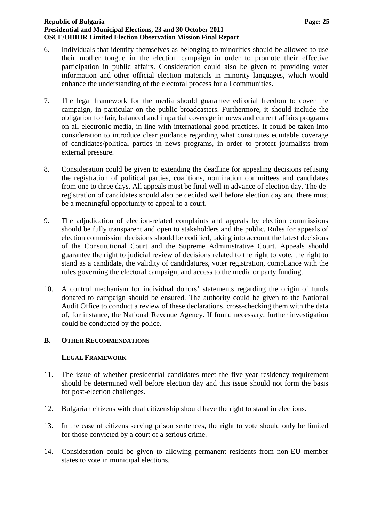#### **Republic of Bulgaria** Page: 25 **Presidential and Municipal Elections, 23 and 30 October 2011 OSCE/ODIHR Limited Election Observation Mission Final Report**

- 6. Individuals that identify themselves as belonging to minorities should be allowed to use their mother tongue in the election campaign in order to promote their effective participation in public affairs. Consideration could also be given to providing voter information and other official election materials in minority languages, which would enhance the understanding of the electoral process for all communities.
- 7. The legal framework for the media should guarantee editorial freedom to cover the campaign, in particular on the public broadcasters. Furthermore, it should include the obligation for fair, balanced and impartial coverage in news and current affairs programs on all electronic media, in line with international good practices. It could be taken into consideration to introduce clear guidance regarding what constitutes equitable coverage of candidates/political parties in news programs, in order to protect journalists from external pressure.
- 8. Consideration could be given to extending the deadline for appealing decisions refusing the registration of political parties, coalitions, nomination committees and candidates from one to three days. All appeals must be final well in advance of election day. The deregistration of candidates should also be decided well before election day and there must be a meaningful opportunity to appeal to a court.
- 9. The adjudication of election-related complaints and appeals by election commissions should be fully transparent and open to stakeholders and the public. Rules for appeals of election commission decisions should be codified, taking into account the latest decisions of the Constitutional Court and the Supreme Administrative Court. Appeals should guarantee the right to judicial review of decisions related to the right to vote, the right to stand as a candidate, the validity of candidatures, voter registration, compliance with the rules governing the electoral campaign, and access to the media or party funding.
- 10. A control mechanism for individual donors' statements regarding the origin of funds donated to campaign should be ensured. The authority could be given to the National Audit Office to conduct a review of these declarations, cross-checking them with the data of, for instance, the National Revenue Agency. If found necessary, further investigation could be conducted by the police.

## <span id="page-26-0"></span>**B. OTHER RECOMMENDATIONS**

#### **LEGAL FRAMEWORK**

- 11. The issue of whether presidential candidates meet the five-year residency requirement should be determined well before election day and this issue should not form the basis for post-election challenges.
- 12. Bulgarian citizens with dual citizenship should have the right to stand in elections.
- 13. In the case of citizens serving prison sentences, the right to vote should only be limited for those convicted by a court of a serious crime.
- 14. Consideration could be given to allowing permanent residents from non-EU member states to vote in municipal elections.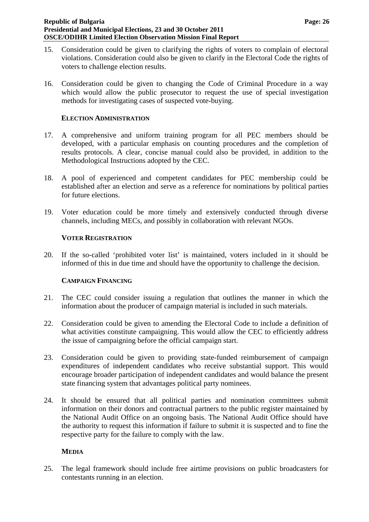- 15. Consideration could be given to clarifying the rights of voters to complain of electoral violations. Consideration could also be given to clarify in the Electoral Code the rights of voters to challenge election results.
- 16. Consideration could be given to changing the Code of Criminal Procedure in a way which would allow the public prosecutor to request the use of special investigation methods for investigating cases of suspected vote-buying.

#### **ELECTION ADMINISTRATION**

- 17. A comprehensive and uniform training program for all PEC members should be developed, with a particular emphasis on counting procedures and the completion of results protocols. A clear, concise manual could also be provided, in addition to the Methodological Instructions adopted by the CEC.
- 18. A pool of experienced and competent candidates for PEC membership could be established after an election and serve as a reference for nominations by political parties for future elections.
- 19. Voter education could be more timely and extensively conducted through diverse channels, including MECs, and possibly in collaboration with relevant NGOs.

#### **VOTER REGISTRATION**

20. If the so-called 'prohibited voter list' is maintained, voters included in it should be informed of this in due time and should have the opportunity to challenge the decision.

#### **CAMPAIGN FINANCING**

- 21. The CEC could consider issuing a regulation that outlines the manner in which the information about the producer of campaign material is included in such materials.
- 22. Consideration could be given to amending the Electoral Code to include a definition of what activities constitute campaigning. This would allow the CEC to efficiently address the issue of campaigning before the official campaign start.
- 23. Consideration could be given to providing state-funded reimbursement of campaign expenditures of independent candidates who receive substantial support. This would encourage broader participation of independent candidates and would balance the present state financing system that advantages political party nominees.
- 24. It should be ensured that all political parties and nomination committees submit information on their donors and contractual partners to the public register maintained by the National Audit Office on an ongoing basis. The National Audit Office should have the authority to request this information if failure to submit it is suspected and to fine the respective party for the failure to comply with the law.

#### **MEDIA**

25. The legal framework should include free airtime provisions on public broadcasters for contestants running in an election.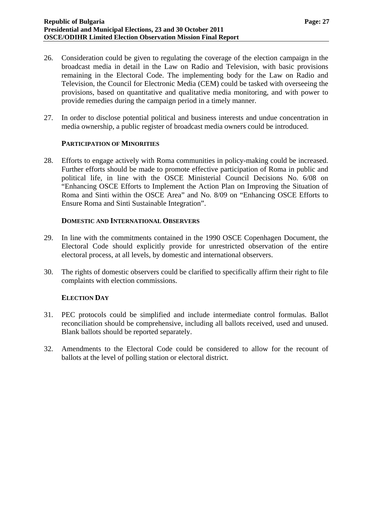- 26. Consideration could be given to regulating the coverage of the election campaign in the broadcast media in detail in the Law on Radio and Television, with basic provisions remaining in the Electoral Code. The implementing body for the Law on Radio and Television, the Council for Electronic Media (CEM) could be tasked with overseeing the provisions, based on quantitative and qualitative media monitoring, and with power to provide remedies during the campaign period in a timely manner.
- 27. In order to disclose potential political and business interests and undue concentration in media ownership, a public register of broadcast media owners could be introduced.

#### **PARTICIPATION OF MINORITIES**

28. Efforts to engage actively with Roma communities in policy-making could be increased. Further efforts should be made to promote effective participation of Roma in public and political life, in line with the OSCE Ministerial Council Decisions No. 6/08 on "Enhancing OSCE Efforts to Implement the Action Plan on Improving the Situation of Roma and Sinti within the OSCE Area" and No. 8/09 on "Enhancing OSCE Efforts to Ensure Roma and Sinti Sustainable Integration".

#### **DOMESTIC AND INTERNATIONAL OBSERVERS**

- 29. In line with the commitments contained in the 1990 OSCE Copenhagen Document, the Electoral Code should explicitly provide for unrestricted observation of the entire electoral process, at all levels, by domestic and international observers.
- 30. The rights of domestic observers could be clarified to specifically affirm their right to file complaints with election commissions.

## **ELECTION DAY**

- 31. PEC protocols could be simplified and include intermediate control formulas. Ballot reconciliation should be comprehensive, including all ballots received, used and unused. Blank ballots should be reported separately.
- 32. Amendments to the Electoral Code could be considered to allow for the recount of ballots at the level of polling station or electoral district.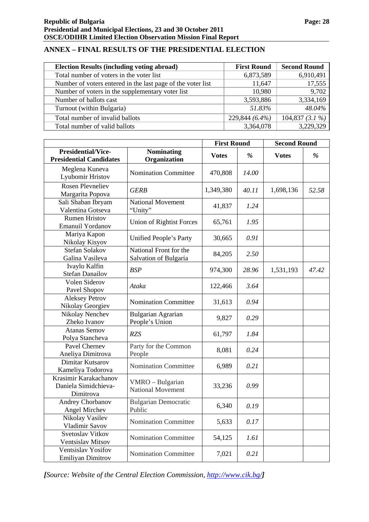## <span id="page-29-0"></span>**ANNEX – FINAL RESULTS OF THE PRESIDENTIAL ELECTION**

| <b>Election Results (including voting abroad)</b>           | <b>First Round</b> | <b>Second Round</b> |  |
|-------------------------------------------------------------|--------------------|---------------------|--|
| Total number of voters in the voter list                    | 6,873,589          | 6,910,491           |  |
| Number of voters entered in the last page of the voter list | 11,647             | 17,555              |  |
| Number of voters in the supplementary voter list            | 10,980             | 9,702               |  |
| Number of ballots cast                                      | 3,593,886          | 3,334,169           |  |
| Turnout (within Bulgaria)                                   | 51.83%             | 48.04%              |  |
| Total number of invalid ballots                             | 229,844 (6.4%)     | 104,837 $(3.1\%)$   |  |
| Total number of valid ballots                               | 3,364,078          | 3,229,329           |  |

|                                                             |                                                 | <b>First Round</b> |               | <b>Second Round</b> |       |
|-------------------------------------------------------------|-------------------------------------------------|--------------------|---------------|---------------------|-------|
| <b>Presidential/Vice-</b><br><b>Presidential Candidates</b> | <b>Nominating</b><br>Organization               | <b>Votes</b>       | $\frac{9}{6}$ | <b>Votes</b>        | $\%$  |
| Meglena Kuneva<br>Lyubomir Hristov                          | <b>Nomination Committee</b>                     | 470,808            | 14.00         |                     |       |
| <b>Rosen Plevneliev</b><br>Margarita Popova                 | <b>GERB</b>                                     | 1,349,380          | 40.11         | 1,698,136           | 52.58 |
| Sali Shaban Ibryam<br>Valentina Gotseva                     | <b>National Movement</b><br>"Unity"             | 41,837             | 1.24          |                     |       |
| <b>Rumen Hristov</b><br>Emanuil Yordanov                    | <b>Union of Rightist Forces</b>                 | 65,761             | 1.95          |                     |       |
| Mariya Kapon<br>Nikolay Kisyov                              | Unified People's Party                          | 30,665             | 0.91          |                     |       |
| <b>Stefan Solakov</b><br>Galina Vasileva                    | National Front for the<br>Salvation of Bulgaria | 84,205             | 2.50          |                     |       |
| Ivaylo Kalfin<br><b>Stefan Danailov</b>                     | <b>BSP</b>                                      | 974,300            | 28.96         | 1,531,193           | 47.42 |
| Volen Siderov<br>Pavel Shopov                               | Ataka                                           | 122,466            | 3.64          |                     |       |
| <b>Aleksey Petrov</b><br>Nikolay Georgiev                   | <b>Nomination Committee</b>                     | 31,613             | 0.94          |                     |       |
| Nikolay Nenchev<br>Zheko Ivanov                             | <b>Bulgarian Agrarian</b><br>People's Union     | 9,827              | 0.29          |                     |       |
| <b>Atanas Semov</b><br>Polya Stancheva                      | <b>RZS</b>                                      | 61,797             | 1.84          |                     |       |
| Pavel Chernev<br>Aneliya Dimitrova                          | Party for the Common<br>People                  | 8,081              | 0.24          |                     |       |
| Dimitar Kutsarov<br>Kameliya Todorova                       | <b>Nomination Committee</b>                     | 6,989              | 0.21          |                     |       |
| Krasimir Karakachanov<br>Daniela Simidchieva-<br>Dimitrova  | VMRO - Bulgarian<br><b>National Movement</b>    | 33,236             | 0.99          |                     |       |
| Andrey Chorbanov<br>Angel Mirchev                           | <b>Bulgarian Democratic</b><br>Public           | 6,340              | 0.19          |                     |       |
| Nikolay Vasilev<br>Vladimir Savov                           | <b>Nomination Committee</b>                     | 5,633              | 0.17          |                     |       |
| Svetoslav Vitkov<br>Ventsislav Mitsov                       | Nomination Committee                            | 54,125             | 1.61          |                     |       |
| Ventsislav Yosifov<br>Emiliyan Dimitrov                     | <b>Nomination Committee</b>                     | 7,021              | 0.21          |                     |       |

*[Source: Website of the Central Election Commission,<http://www.cik.bg/>]*